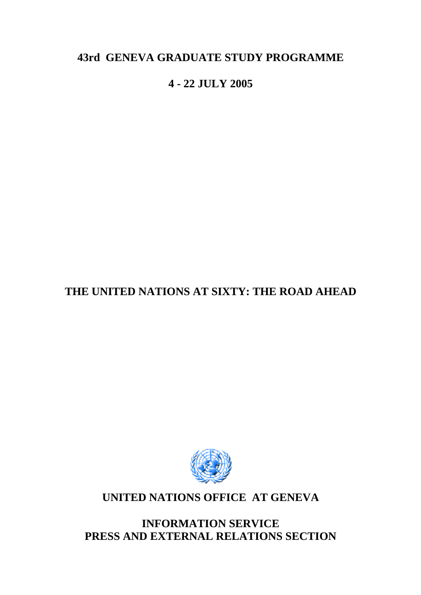# **43rd GENEVA GRADUATE STUDY PROGRAMME**

# **4 - 22 JULY 2005**

# **THE UNITED NATIONS AT SIXTY: THE ROAD AHEAD**



# **UNITED NATIONS OFFICE AT GENEVA**

**INFORMATION SERVICE PRESS AND EXTERNAL RELATIONS SECTION**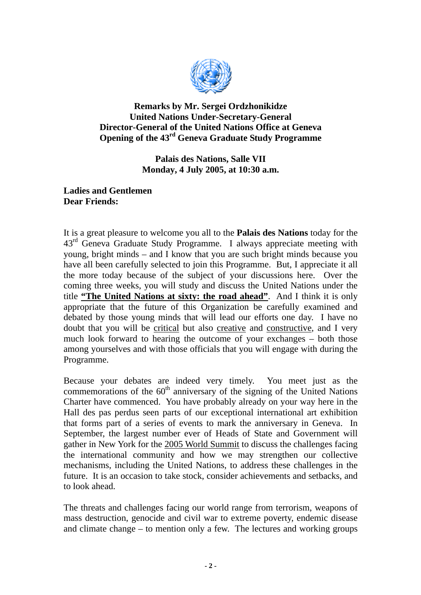

**Remarks by Mr. Sergei Ordzhonikidze United Nations Under-Secretary-General Director-General of the United Nations Office at Geneva Opening of the 43rd Geneva Graduate Study Programme** 

> **Palais des Nations, Salle VII Monday, 4 July 2005, at 10:30 a.m.**

#### **Ladies and Gentlemen Dear Friends:**

It is a great pleasure to welcome you all to the **Palais des Nations** today for the  $43<sup>rd</sup>$  Geneva Graduate Study Programme. I always appreciate meeting with young, bright minds – and I know that you are such bright minds because you have all been carefully selected to join this Programme. But, I appreciate it all the more today because of the subject of your discussions here. Over the coming three weeks, you will study and discuss the United Nations under the title **"The United Nations at sixty: the road ahead"**. And I think it is only appropriate that the future of this Organization be carefully examined and debated by those young minds that will lead our efforts one day. I have no doubt that you will be critical but also creative and constructive, and I very much look forward to hearing the outcome of your exchanges – both those among yourselves and with those officials that you will engage with during the Programme.

Because your debates are indeed very timely. You meet just as the commemorations of the  $60<sup>th</sup>$  anniversary of the signing of the United Nations Charter have commenced. You have probably already on your way here in the Hall des pas perdus seen parts of our exceptional international art exhibition that forms part of a series of events to mark the anniversary in Geneva. In September, the largest number ever of Heads of State and Government will gather in New York for the 2005 World Summit to discuss the challenges facing the international community and how we may strengthen our collective mechanisms, including the United Nations, to address these challenges in the future. It is an occasion to take stock, consider achievements and setbacks, and to look ahead.

The threats and challenges facing our world range from terrorism, weapons of mass destruction, genocide and civil war to extreme poverty, endemic disease and climate change – to mention only a few. The lectures and working groups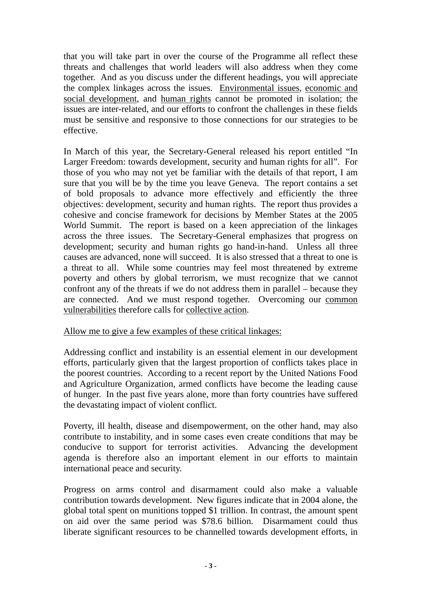that you will take part in over the course of the Programme all reflect these threats and challenges that world leaders will also address when they come together. And as you discuss under the different headings, you will appreciate the complex linkages across the issues. Environmental issues, economic and social development, and human rights cannot be promoted in isolation; the issues are inter-related, and our efforts to confront the challenges in these fields must be sensitive and responsive to those connections for our strategies to be effective.

In March of this year, the Secretary-General released his report entitled "In Larger Freedom: towards development, security and human rights for all". For those of you who may not yet be familiar with the details of that report, I am sure that you will be by the time you leave Geneva. The report contains a set of bold proposals to advance more effectively and efficiently the three objectives: development, security and human rights. The report thus provides a cohesive and concise framework for decisions by Member States at the 2005 World Summit. The report is based on a keen appreciation of the linkages across the three issues. The Secretary-General emphasizes that progress on development; security and human rights go hand-in-hand. Unless all three causes are advanced, none will succeed. It is also stressed that a threat to one is a threat to all. While some countries may feel most threatened by extreme poverty and others by global terrorism, we must recognize that we cannot confront any of the threats if we do not address them in parallel – because they are connected. And we must respond together. Overcoming our common vulnerabilities therefore calls for collective action.

#### Allow me to give a few examples of these critical linkages:

Addressing conflict and instability is an essential element in our development efforts, particularly given that the largest proportion of conflicts takes place in the poorest countries. According to a recent report by the United Nations Food and Agriculture Organization, armed conflicts have become the leading cause of hunger. In the past five years alone, more than forty countries have suffered the devastating impact of violent conflict.

Poverty, ill health, disease and disempowerment, on the other hand, may also contribute to instability, and in some cases even create conditions that may be conducive to support for terrorist activities. Advancing the development agenda is therefore also an important element in our efforts to maintain international peace and security.

Progress on arms control and disarmament could also make a valuable contribution towards development. New figures indicate that in 2004 alone, the global total spent on munitions topped \$1 trillion. In contrast, the amount spent on aid over the same period was \$78.6 billion. Disarmament could thus liberate significant resources to be channelled towards development efforts, in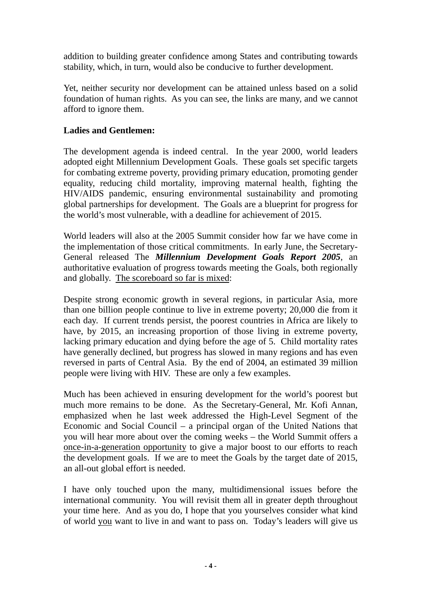addition to building greater confidence among States and contributing towards stability, which, in turn, would also be conducive to further development.

Yet, neither security nor development can be attained unless based on a solid foundation of human rights. As you can see, the links are many, and we cannot afford to ignore them.

### **Ladies and Gentlemen:**

The development agenda is indeed central. In the year 2000, world leaders adopted eight Millennium Development Goals. These goals set specific targets for combating extreme poverty, providing primary education, promoting gender equality, reducing child mortality, improving maternal health, fighting the HIV/AIDS pandemic, ensuring environmental sustainability and promoting global partnerships for development. The Goals are a blueprint for progress for the world's most vulnerable, with a deadline for achievement of 2015.

World leaders will also at the 2005 Summit consider how far we have come in the implementation of those critical commitments. In early June, the Secretary-General released The *Millennium Development Goals Report 2005*, an authoritative evaluation of progress towards meeting the Goals, both regionally and globally. The scoreboard so far is mixed:

Despite strong economic growth in several regions, in particular Asia, more than one billion people continue to live in extreme poverty; 20,000 die from it each day. If current trends persist, the poorest countries in Africa are likely to have, by 2015, an increasing proportion of those living in extreme poverty, lacking primary education and dying before the age of 5. Child mortality rates have generally declined, but progress has slowed in many regions and has even reversed in parts of Central Asia. By the end of 2004, an estimated 39 million people were living with HIV. These are only a few examples.

Much has been achieved in ensuring development for the world's poorest but much more remains to be done. As the Secretary-General, Mr. Kofi Annan, emphasized when he last week addressed the High-Level Segment of the Economic and Social Council – a principal organ of the United Nations that you will hear more about over the coming weeks – the World Summit offers a once-in-a-generation opportunity to give a major boost to our efforts to reach the development goals. If we are to meet the Goals by the target date of 2015, an all-out global effort is needed.

I have only touched upon the many, multidimensional issues before the international community. You will revisit them all in greater depth throughout your time here. And as you do, I hope that you yourselves consider what kind of world you want to live in and want to pass on. Today's leaders will give us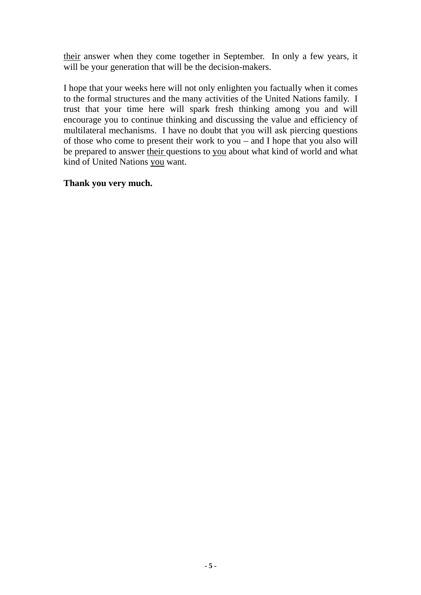their answer when they come together in September. In only a few years, it will be your generation that will be the decision-makers.

I hope that your weeks here will not only enlighten you factually when it comes to the formal structures and the many activities of the United Nations family. I trust that your time here will spark fresh thinking among you and will encourage you to continue thinking and discussing the value and efficiency of multilateral mechanisms. I have no doubt that you will ask piercing questions of those who come to present their work to you – and I hope that you also will be prepared to answer their questions to you about what kind of world and what kind of United Nations you want.

#### **Thank you very much.**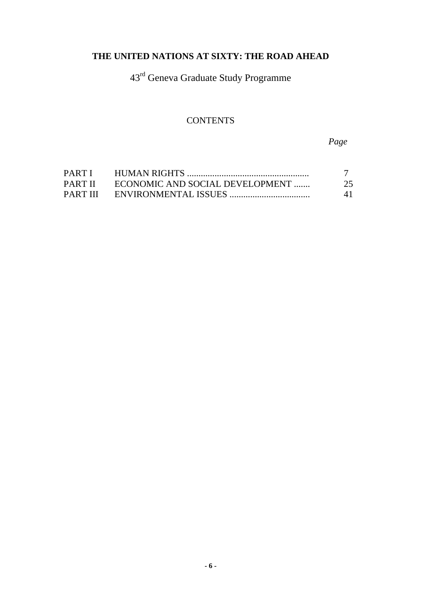# **THE UNITED NATIONS AT SIXTY: THE ROAD AHEAD**

43rd Geneva Graduate Study Programme

# **CONTENTS**

*Page* 

| PARTI    |                                 |    |
|----------|---------------------------------|----|
| PART II  | ECONOMIC AND SOCIAL DEVELOPMENT | 25 |
| PART III |                                 | 41 |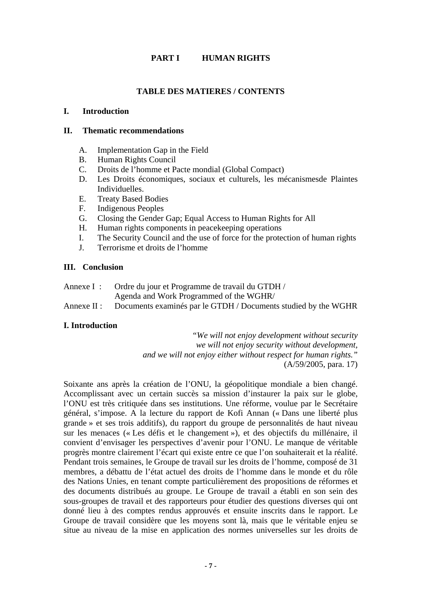#### **PART I HUMAN RIGHTS**

#### **TABLE DES MATIERES / CONTENTS**

#### **I. Introduction**

#### **II. Thematic recommendations**

- A. [Implementation Gap in the Field](#page-7-0)
- B. [Human Rights Council](#page-8-0)
- C. [Droits de l'homme et Pacte mondial \(Global Compact\)](#page-9-0)
- [D. Les Droits économiques, sociaux et culturels, les mécanismesde Plaintes](#page-10-0)  [Individuelles.](#page-10-0)
- E. [Treaty Based Bodies](#page-10-0)
- F. [Indigenous Peoples](#page-11-0)
- G. [Closing the Gender Gap; Equal Access to Human Rights for All](#page-12-0)
- H. [Human rights components in peacekeeping operations](#page-13-0)
- I. [The Security Council and the use of force for the protection of human rights](#page-14-0)
- J. [Terrorisme et droits de l'homme](#page-16-0)

#### **III. Conclusion**

| Annexe I: Ordre du jour et Programme de travail du GTDH /                  |
|----------------------------------------------------------------------------|
| Agenda and Work Programmed of the WGHR/                                    |
| Annexe II : Documents examinés par le GTDH / Documents studied by the WGHR |

#### **I. Introduction**

*"We will not enjoy development without security we will not enjoy security without development, and we will not enjoy either without respect for human rights."* (A/59/2005, para. 17)

Soixante ans après la création de l'ONU, la géopolitique mondiale a bien changé. Accomplissant avec un certain succès sa mission d'instaurer la paix sur le globe, l'ONU est très critiquée dans ses institutions. Une réforme, voulue par le Secrétaire général, s'impose. A la lecture du rapport de Kofi Annan (« Dans une liberté plus grande » et ses trois additifs), du rapport du groupe de personnalités de haut niveau sur les menaces (« Les défis et le changement »), et des objectifs du millénaire, il convient d'envisager les perspectives d'avenir pour l'ONU. Le manque de véritable progrès montre clairement l'écart qui existe entre ce que l'on souhaiterait et la réalité. Pendant trois semaines, le Groupe de travail sur les droits de l'homme, composé de 31 membres, a débattu de l'état actuel des droits de l'homme dans le monde et du rôle des Nations Unies, en tenant compte particulièrement des propositions de réformes et des documents distribués au groupe. Le Groupe de travail a établi en son sein des sous-groupes de travail et des rapporteurs pour étudier des questions diverses qui ont donné lieu à des comptes rendus approuvés et ensuite inscrits dans le rapport. Le Groupe de travail considère que les moyens sont là, mais que le véritable enjeu se situe au niveau de la mise en application des normes universelles sur les droits de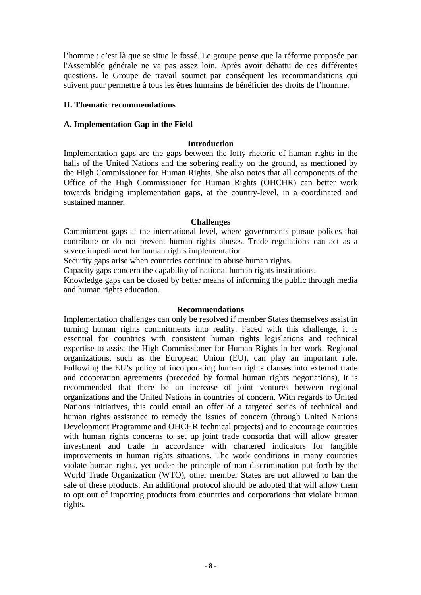<span id="page-7-0"></span>l'homme : c'est là que se situe le fossé. Le groupe pense que la réforme proposée par l'Assemblée générale ne va pas assez loin. Après avoir débattu de ces différentes questions, le Groupe de travail soumet par conséquent les recommandations qui suivent pour permettre à tous les êtres humains de bénéficier des droits de l'homme.

#### **II. Thematic recommendations**

#### **A. Implementation Gap in the Field**

#### **Introduction**

Implementation gaps are the gaps between the lofty rhetoric of human rights in the halls of the United Nations and the sobering reality on the ground, as mentioned by the High Commissioner for Human Rights. She also notes that all components of the Office of the High Commissioner for Human Rights (OHCHR) can better work towards bridging implementation gaps, at the country-level, in a coordinated and sustained manner.

#### **Challenges**

Commitment gaps at the international level, where governments pursue polices that contribute or do not prevent human rights abuses. Trade regulations can act as a severe impediment for human rights implementation.

Security gaps arise when countries continue to abuse human rights.

Capacity gaps concern the capability of national human rights institutions.

Knowledge gaps can be closed by better means of informing the public through media and human rights education.

#### **Recommendations**

Implementation challenges can only be resolved if member States themselves assist in turning human rights commitments into reality. Faced with this challenge, it is essential for countries with consistent human rights legislations and technical expertise to assist the High Commissioner for Human Rights in her work. Regional organizations, such as the European Union (EU), can play an important role. Following the EU's policy of incorporating human rights clauses into external trade and cooperation agreements (preceded by formal human rights negotiations), it is recommended that there be an increase of joint ventures between regional organizations and the United Nations in countries of concern. With regards to United Nations initiatives, this could entail an offer of a targeted series of technical and human rights assistance to remedy the issues of concern (through United Nations Development Programme and OHCHR technical projects) and to encourage countries with human rights concerns to set up joint trade consortia that will allow greater investment and trade in accordance with chartered indicators for tangible improvements in human rights situations. The work conditions in many countries violate human rights, yet under the principle of non-discrimination put forth by the World Trade Organization (WTO), other member States are not allowed to ban the sale of these products. An additional protocol should be adopted that will allow them to opt out of importing products from countries and corporations that violate human rights.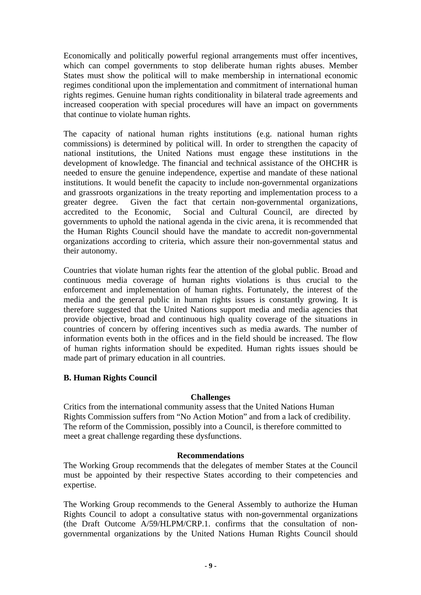<span id="page-8-0"></span>Economically and politically powerful regional arrangements must offer incentives, which can compel governments to stop deliberate human rights abuses. Member States must show the political will to make membership in international economic regimes conditional upon the implementation and commitment of international human rights regimes. Genuine human rights conditionality in bilateral trade agreements and increased cooperation with special procedures will have an impact on governments that continue to violate human rights.

The capacity of national human rights institutions (e.g. national human rights commissions) is determined by political will. In order to strengthen the capacity of national institutions, the United Nations must engage these institutions in the development of knowledge. The financial and technical assistance of the OHCHR is needed to ensure the genuine independence, expertise and mandate of these national institutions. It would benefit the capacity to include non-governmental organizations and grassroots organizations in the treaty reporting and implementation process to a greater degree. Given the fact that certain non-governmental organizations, accredited to the Economic, Social and Cultural Council, are directed by governments to uphold the national agenda in the civic arena, it is recommended that the Human Rights Council should have the mandate to accredit non-governmental organizations according to criteria, which assure their non-governmental status and their autonomy.

Countries that violate human rights fear the attention of the global public. Broad and continuous media coverage of human rights violations is thus crucial to the enforcement and implementation of human rights. Fortunately, the interest of the media and the general public in human rights issues is constantly growing. It is therefore suggested that the United Nations support media and media agencies that provide objective, broad and continuous high quality coverage of the situations in countries of concern by offering incentives such as media awards. The number of information events both in the offices and in the field should be increased. The flow of human rights information should be expedited. Human rights issues should be made part of primary education in all countries.

#### **B. Human Rights Council**

#### **Challenges**

Critics from the international community assess that the United Nations Human Rights Commission suffers from "No Action Motion" and from a lack of credibility. The reform of the Commission, possibly into a Council, is therefore committed to meet a great challenge regarding these dysfunctions.

#### **Recommendations**

The Working Group recommends that the delegates of member States at the Council must be appointed by their respective States according to their competencies and expertise.

The Working Group recommends to the General Assembly to authorize the Human Rights Council to adopt a consultative status with non-governmental organizations (the Draft Outcome A/59/HLPM/CRP.1. confirms that the consultation of nongovernmental organizations by the United Nations Human Rights Council should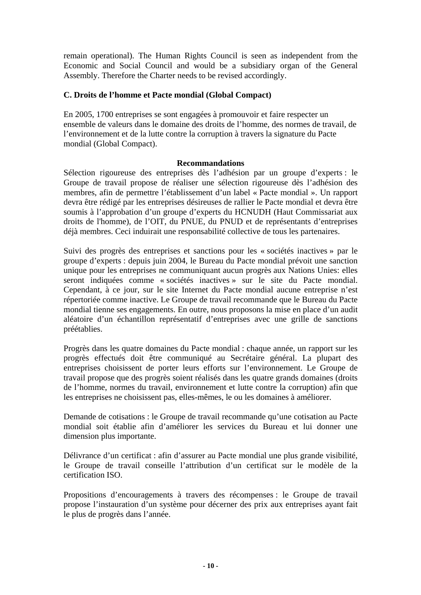<span id="page-9-0"></span>remain operational). The Human Rights Council is seen as independent from the Economic and Social Council and would be a subsidiary organ of the General Assembly. Therefore the Charter needs to be revised accordingly.

#### **C. Droits de l'homme et Pacte mondial (Global Compact)**

En 2005, 1700 entreprises se sont engagées à promouvoir et faire respecter un ensemble de valeurs dans le domaine des droits de l'homme, des normes de travail, de l'environnement et de la lutte contre la corruption à travers la signature du Pacte mondial (Global Compact).

#### **Recommandations**

Sélection rigoureuse des entreprises dès l'adhésion par un groupe d'experts : le Groupe de travail propose de réaliser une sélection rigoureuse dès l'adhésion des membres, afin de permettre l'établissement d'un label « Pacte mondial ». Un rapport devra être rédigé par les entreprises désireuses de rallier le Pacte mondial et devra être soumis à l'approbation d'un groupe d'experts du HCNUDH (Haut Commissariat aux droits de l'homme), de l'OIT, du PNUE, du PNUD et de représentants d'entreprises déjà membres. Ceci induirait une responsabilité collective de tous les partenaires.

Suivi des progrès des entreprises et sanctions pour les « sociétés inactives » par le groupe d'experts : depuis juin 2004, le Bureau du Pacte mondial prévoit une sanction unique pour les entreprises ne communiquant aucun progrès aux Nations Unies: elles seront indiquées comme « sociétés inactives » sur le site du Pacte mondial. Cependant, à ce jour, sur le site Internet du Pacte mondial aucune entreprise n'est répertoriée comme inactive. Le Groupe de travail recommande que le Bureau du Pacte mondial tienne ses engagements. En outre, nous proposons la mise en place d'un audit aléatoire d'un échantillon représentatif d'entreprises avec une grille de sanctions préétablies.

Progrès dans les quatre domaines du Pacte mondial : chaque année, un rapport sur les progrès effectués doit être communiqué au Secrétaire général. La plupart des entreprises choisissent de porter leurs efforts sur l'environnement. Le Groupe de travail propose que des progrès soient réalisés dans les quatre grands domaines (droits de l'homme, normes du travail, environnement et lutte contre la corruption) afin que les entreprises ne choisissent pas, elles-mêmes, le ou les domaines à améliorer.

Demande de cotisations : le Groupe de travail recommande qu'une cotisation au Pacte mondial soit établie afin d'améliorer les services du Bureau et lui donner une dimension plus importante.

Délivrance d'un certificat : afin d'assurer au Pacte mondial une plus grande visibilité, le Groupe de travail conseille l'attribution d'un certificat sur le modèle de la certification ISO.

Propositions d'encouragements à travers des récompenses : le Groupe de travail propose l'instauration d'un système pour décerner des prix aux entreprises ayant fait le plus de progrès dans l'année.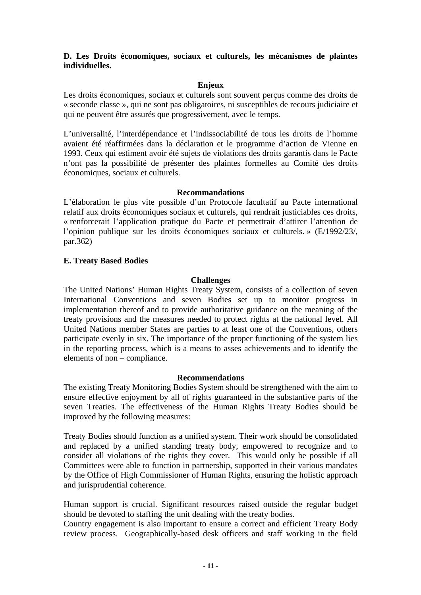#### <span id="page-10-0"></span>**D. Les Droits économiques, sociaux et culturels, les mécanismes de plaintes individuelles.**

#### **Enjeux**

Les droits économiques, sociaux et culturels sont souvent perçus comme des droits de « seconde classe », qui ne sont pas obligatoires, ni susceptibles de recours judiciaire et qui ne peuvent être assurés que progressivement, avec le temps.

L'universalité, l'interdépendance et l'indissociabilité de tous les droits de l'homme avaient été réaffirmées dans la déclaration et le programme d'action de Vienne en 1993. Ceux qui estiment avoir été sujets de violations des droits garantis dans le Pacte n'ont pas la possibilité de présenter des plaintes formelles au Comité des droits économiques, sociaux et culturels.

#### **Recommandations**

L'élaboration le plus vite possible d'un Protocole facultatif au Pacte international relatif aux droits économiques sociaux et culturels, qui rendrait justiciables ces droits, « renforcerait l'application pratique du Pacte et permettrait d'attirer l'attention de l'opinion publique sur les droits économiques sociaux et culturels. » (E/1992/23/, par.362)

#### **E. Treaty Based Bodies**

#### **Challenges**

The United Nations' Human Rights Treaty System, consists of a collection of seven International Conventions and seven Bodies set up to monitor progress in implementation thereof and to provide authoritative guidance on the meaning of the treaty provisions and the measures needed to protect rights at the national level. All United Nations member States are parties to at least one of the Conventions, others participate evenly in six. The importance of the proper functioning of the system lies in the reporting process, which is a means to asses achievements and to identify the elements of non – compliance.

#### **Recommendations**

The existing Treaty Monitoring Bodies System should be strengthened with the aim to ensure effective enjoyment by all of rights guaranteed in the substantive parts of the seven Treaties. The effectiveness of the Human Rights Treaty Bodies should be improved by the following measures:

Treaty Bodies should function as a unified system. Their work should be consolidated and replaced by a unified standing treaty body, empowered to recognize and to consider all violations of the rights they cover. This would only be possible if all Committees were able to function in partnership, supported in their various mandates by the Office of High Commissioner of Human Rights, ensuring the holistic approach and jurisprudential coherence.

Human support is crucial. Significant resources raised outside the regular budget should be devoted to staffing the unit dealing with the treaty bodies.

Country engagement is also important to ensure a correct and efficient Treaty Body review process. Geographically-based desk officers and staff working in the field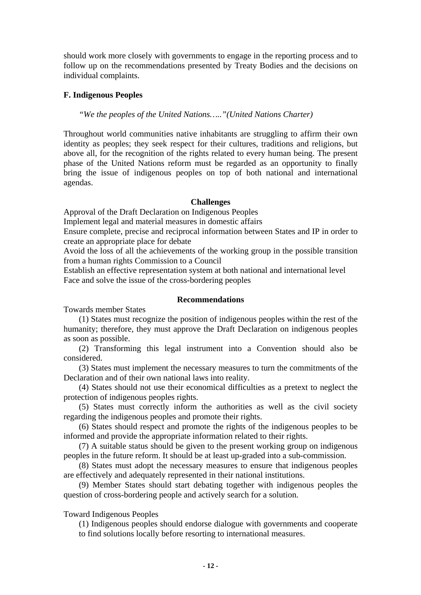<span id="page-11-0"></span>should work more closely with governments to engage in the reporting process and to follow up on the recommendations presented by Treaty Bodies and the decisions on individual complaints.

#### **F. Indigenous Peoples**

*"We the peoples of the United Nations….."(United Nations Charter)*

Throughout world communities native inhabitants are struggling to affirm their own identity as peoples; they seek respect for their cultures, traditions and religions, but above all, for the recognition of the rights related to every human being. The present phase of the United Nations reform must be regarded as an opportunity to finally bring the issue of indigenous peoples on top of both national and international agendas.

#### **Challenges**

Approval of the Draft Declaration on Indigenous Peoples

Implement legal and material measures in domestic affairs

Ensure complete, precise and reciprocal information between States and IP in order to create an appropriate place for debate

Avoid the loss of all the achievements of the working group in the possible transition from a human rights Commission to a Council

Establish an effective representation system at both national and international level Face and solve the issue of the cross-bordering peoples

#### **Recommendations**

Towards member States

(1) States must recognize the position of indigenous peoples within the rest of the humanity; therefore, they must approve the Draft Declaration on indigenous peoples as soon as possible.

(2) Transforming this legal instrument into a Convention should also be considered.

(3) States must implement the necessary measures to turn the commitments of the Declaration and of their own national laws into reality.

(4) States should not use their economical difficulties as a pretext to neglect the protection of indigenous peoples rights.

(5) States must correctly inform the authorities as well as the civil society regarding the indigenous peoples and promote their rights.

(6) States should respect and promote the rights of the indigenous peoples to be informed and provide the appropriate information related to their rights.

(7) A suitable status should be given to the present working group on indigenous peoples in the future reform. It should be at least up-graded into a sub-commission.

(8) States must adopt the necessary measures to ensure that indigenous peoples are effectively and adequately represented in their national institutions.

(9) Member States should start debating together with indigenous peoples the question of cross-bordering people and actively search for a solution.

Toward Indigenous Peoples

(1) Indigenous peoples should endorse dialogue with governments and cooperate to find solutions locally before resorting to international measures.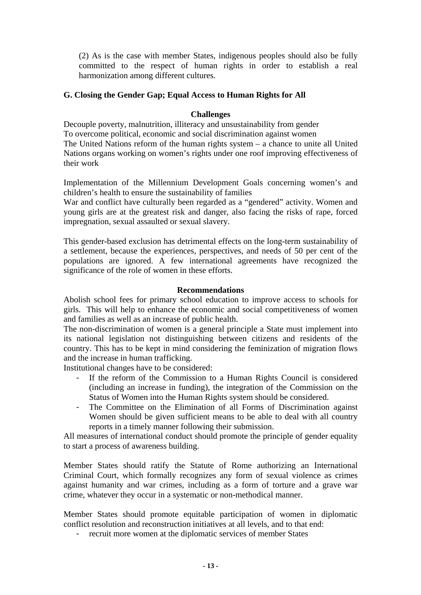<span id="page-12-0"></span>(2) As is the case with member States, indigenous peoples should also be fully committed to the respect of human rights in order to establish a real harmonization among different cultures.

#### **G. Closing the Gender Gap; Equal Access to Human Rights for All**

#### **Challenges**

Decouple poverty, malnutrition, illiteracy and unsustainability from gender To overcome political, economic and social discrimination against women The United Nations reform of the human rights system – a chance to unite all United Nations organs working on women's rights under one roof improving effectiveness of their work

Implementation of the Millennium Development Goals concerning women's and children's health to ensure the sustainability of families

War and conflict have culturally been regarded as a "gendered" activity. Women and young girls are at the greatest risk and danger, also facing the risks of rape, forced impregnation, sexual assaulted or sexual slavery.

This gender-based exclusion has detrimental effects on the long-term sustainability of a settlement, because the experiences, perspectives, and needs of 50 per cent of the populations are ignored. A few international agreements have recognized the significance of the role of women in these efforts.

#### **Recommendations**

Abolish school fees for primary school education to improve access to schools for girls. This will help to enhance the economic and social competitiveness of women and families as well as an increase of public health.

The non-discrimination of women is a general principle a State must implement into its national legislation not distinguishing between citizens and residents of the country. This has to be kept in mind considering the feminization of migration flows and the increase in human trafficking.

Institutional changes have to be considered:

- If the reform of the Commission to a Human Rights Council is considered (including an increase in funding), the integration of the Commission on the Status of Women into the Human Rights system should be considered.
- The Committee on the Elimination of all Forms of Discrimination against Women should be given sufficient means to be able to deal with all country reports in a timely manner following their submission.

All measures of international conduct should promote the principle of gender equality to start a process of awareness building.

Member States should ratify the Statute of Rome authorizing an International Criminal Court, which formally recognizes any form of sexual violence as crimes against humanity and war crimes, including as a form of torture and a grave war crime, whatever they occur in a systematic or non-methodical manner.

Member States should promote equitable participation of women in diplomatic conflict resolution and reconstruction initiatives at all levels, and to that end:

- recruit more women at the diplomatic services of member States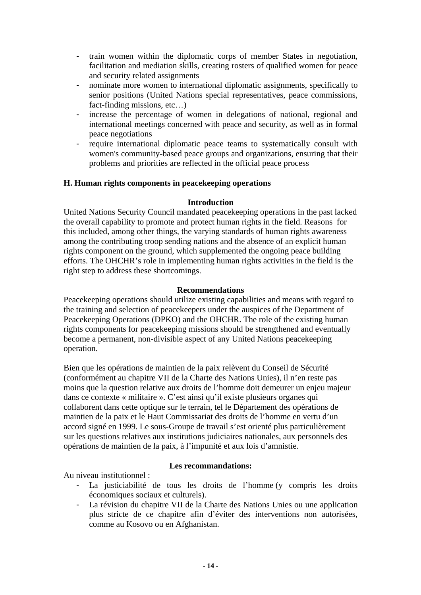- <span id="page-13-0"></span>- train women within the diplomatic corps of member States in negotiation, facilitation and mediation skills, creating rosters of qualified women for peace and security related assignments
- nominate more women to international diplomatic assignments, specifically to senior positions (United Nations special representatives, peace commissions, fact-finding missions, etc…)
- increase the percentage of women in delegations of national, regional and international meetings concerned with peace and security, as well as in formal peace negotiations
- require international diplomatic peace teams to systematically consult with women's community-based peace groups and organizations, ensuring that their problems and priorities are reflected in the official peace process

#### **H. Human rights components in peacekeeping operations**

#### **Introduction**

United Nations Security Council mandated peacekeeping operations in the past lacked the overall capability to promote and protect human rights in the field. Reasons for this included, among other things, the varying standards of human rights awareness among the contributing troop sending nations and the absence of an explicit human rights component on the ground, which supplemented the ongoing peace building efforts. The OHCHR's role in implementing human rights activities in the field is the right step to address these shortcomings.

#### **Recommendations**

Peacekeeping operations should utilize existing capabilities and means with regard to the training and selection of peacekeepers under the auspices of the Department of Peacekeeping Operations (DPKO) and the OHCHR. The role of the existing human rights components for peacekeeping missions should be strengthened and eventually become a permanent, non-divisible aspect of any United Nations peacekeeping operation.

Bien que les opérations de maintien de la paix relèvent du Conseil de Sécurité (conformément au chapitre VII de la Charte des Nations Unies), il n'en reste pas moins que la question relative aux droits de l'homme doit demeurer un enjeu majeur dans ce contexte « militaire ». C'est ainsi qu'il existe plusieurs organes qui collaborent dans cette optique sur le terrain, tel le Département des opérations de maintien de la paix et le Haut Commissariat des droits de l'homme en vertu d'un accord signé en 1999. Le sous-Groupe de travail s'est orienté plus particulièrement sur les questions relatives aux institutions judiciaires nationales, aux personnels des opérations de maintien de la paix, à l'impunité et aux lois d'amnistie.

Au niveau institutionnel :

- **Les recommandations:**
- La justiciabilité de tous les droits de l'homme (y compris les droits économiques sociaux et culturels).
- La révision du chapitre VII de la Charte des Nations Unies ou une application plus stricte de ce chapitre afin d'éviter des interventions non autorisées, comme au Kosovo ou en Afghanistan.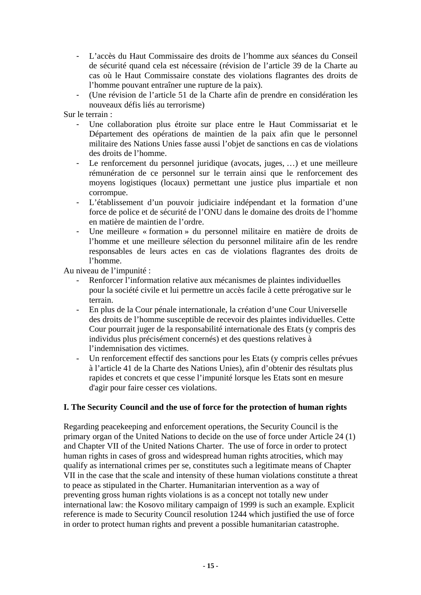- <span id="page-14-0"></span>- L'accès du Haut Commissaire des droits de l'homme aux séances du Conseil de sécurité quand cela est nécessaire (révision de l'article 39 de la Charte au cas où le Haut Commissaire constate des violations flagrantes des droits de l'homme pouvant entraîner une rupture de la paix).
- (Une révision de l'article 51 de la Charte afin de prendre en considération les nouveaux défis liés au terrorisme)

Sur le terrain :

- Une collaboration plus étroite sur place entre le Haut Commissariat et le Département des opérations de maintien de la paix afin que le personnel militaire des Nations Unies fasse aussi l'objet de sanctions en cas de violations des droits de l'homme.
- Le renforcement du personnel juridique (avocats, juges, …) et une meilleure rémunération de ce personnel sur le terrain ainsi que le renforcement des moyens logistiques (locaux) permettant une justice plus impartiale et non corrompue.
- L'établissement d'un pouvoir judiciaire indépendant et la formation d'une force de police et de sécurité de l'ONU dans le domaine des droits de l'homme en matière de maintien de l'ordre.
- Une meilleure « formation » du personnel militaire en matière de droits de l'homme et une meilleure sélection du personnel militaire afin de les rendre responsables de leurs actes en cas de violations flagrantes des droits de l'homme.

Au niveau de l'impunité :

- Renforcer l'information relative aux mécanismes de plaintes individuelles pour la société civile et lui permettre un accès facile à cette prérogative sur le terrain.
- En plus de la Cour pénale internationale, la création d'une Cour Universelle des droits de l'homme susceptible de recevoir des plaintes individuelles. Cette Cour pourrait juger de la responsabilité internationale des Etats (y compris des individus plus précisément concernés) et des questions relatives à l'indemnisation des victimes.
- Un renforcement effectif des sanctions pour les Etats (y compris celles prévues à l'article 41 de la Charte des Nations Unies), afin d'obtenir des résultats plus rapides et concrets et que cesse l'impunité lorsque les Etats sont en mesure d'agir pour faire cesser ces violations.

#### **I. The Security Council and the use of force for the protection of human rights**

Regarding peacekeeping and enforcement operations, the Security Council is the primary organ of the United Nations to decide on the use of force under Article 24 (1) and Chapter VII of the United Nations Charter. The use of force in order to protect human rights in cases of gross and widespread human rights atrocities, which may qualify as international crimes per se, constitutes such a legitimate means of Chapter VII in the case that the scale and intensity of these human violations constitute a threat to peace as stipulated in the Charter. Humanitarian intervention as a way of preventing gross human rights violations is as a concept not totally new under international law: the Kosovo military campaign of 1999 is such an example. Explicit reference is made to Security Council resolution 1244 which justified the use of force in order to protect human rights and prevent a possible humanitarian catastrophe.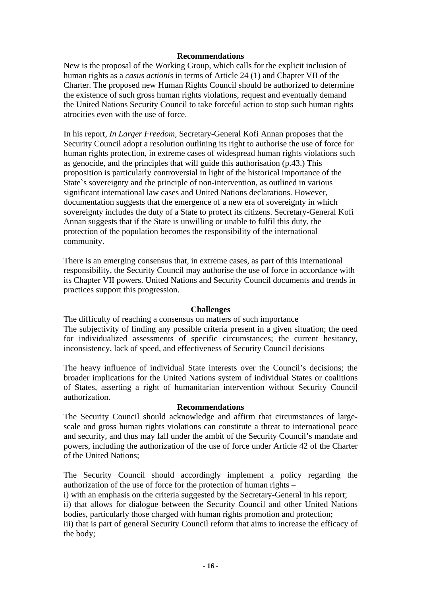#### **Recommendations**

New is the proposal of the Working Group, which calls for the explicit inclusion of human rights as a *casus actionis* in terms of Article 24 (1) and Chapter VII of the Charter. The proposed new Human Rights Council should be authorized to determine the existence of such gross human rights violations, request and eventually demand the United Nations Security Council to take forceful action to stop such human rights atrocities even with the use of force.

In his report, *In Larger Freedom,* Secretary-General Kofi Annan proposes that the Security Council adopt a resolution outlining its right to authorise the use of force for human rights protection, in extreme cases of widespread human rights violations such as genocide, and the principles that will guide this authorisation (p.43.) This proposition is particularly controversial in light of the historical importance of the State`s sovereignty and the principle of non-intervention, as outlined in various significant international law cases and United Nations declarations. However, documentation suggests that the emergence of a new era of sovereignty in which sovereignty includes the duty of a State to protect its citizens. Secretary-General Kofi Annan suggests that if the State is unwilling or unable to fulfil this duty, the protection of the population becomes the responsibility of the international community.

There is an emerging consensus that, in extreme cases, as part of this international responsibility, the Security Council may authorise the use of force in accordance with its Chapter VII powers. United Nations and Security Council documents and trends in practices support this progression.

#### **Challenges**

The difficulty of reaching a consensus on matters of such importance The subjectivity of finding any possible criteria present in a given situation; the need for individualized assessments of specific circumstances; the current hesitancy, inconsistency, lack of speed, and effectiveness of Security Council decisions

The heavy influence of individual State interests over the Council's decisions; the broader implications for the United Nations system of individual States or coalitions of States, asserting a right of humanitarian intervention without Security Council authorization.

#### **Recommendations**

The Security Council should acknowledge and affirm that circumstances of largescale and gross human rights violations can constitute a threat to international peace and security, and thus may fall under the ambit of the Security Council's mandate and powers, including the authorization of the use of force under Article 42 of the Charter of the United Nations;

The Security Council should accordingly implement a policy regarding the authorization of the use of force for the protection of human rights –

i) with an emphasis on the criteria suggested by the Secretary-General in his report;

ii) that allows for dialogue between the Security Council and other United Nations bodies, particularly those charged with human rights promotion and protection;

iii) that is part of general Security Council reform that aims to increase the efficacy of the body;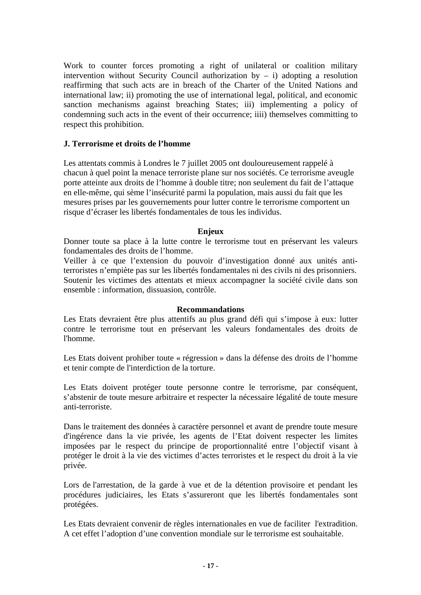<span id="page-16-0"></span>Work to counter forces promoting a right of unilateral or coalition military intervention without Security Council authorization by  $-$  i) adopting a resolution reaffirming that such acts are in breach of the Charter of the United Nations and international law; ii) promoting the use of international legal, political, and economic sanction mechanisms against breaching States; iii) implementing a policy of condemning such acts in the event of their occurrence; iiii) themselves committing to respect this prohibition.

#### **J. Terrorisme et droits de l'homme**

Les attentats commis à Londres le 7 juillet 2005 ont douloureusement rappelé à chacun à quel point la menace terroriste plane sur nos sociétés. Ce terrorisme aveugle porte atteinte aux droits de l'homme à double titre; non seulement du fait de l'attaque en elle-même, qui sème l'insécurité parmi la population, mais aussi du fait que les mesures prises par les gouvernements pour lutter contre le terrorisme comportent un risque d'écraser les libertés fondamentales de tous les individus.

#### **Enjeux**

Donner toute sa place à la lutte contre le terrorisme tout en préservant les valeurs fondamentales des droits de l'homme.

Veiller à ce que l'extension du pouvoir d'investigation donné aux unités antiterroristes n'empiète pas sur les libertés fondamentales ni des civils ni des prisonniers. Soutenir les victimes des attentats et mieux accompagner la société civile dans son ensemble : information, dissuasion, contrôle.

#### **Recommandations**

Les Etats devraient être plus attentifs au plus grand défi qui s'impose à eux: lutter contre le terrorisme tout en préservant les valeurs fondamentales des droits de l'homme.

Les Etats doivent prohiber toute « régression » dans la défense des droits de l'homme et tenir compte de l'interdiction de la torture.

Les Etats doivent protéger toute personne contre le terrorisme, par conséquent, s'abstenir de toute mesure arbitraire et respecter la nécessaire légalité de toute mesure anti-terroriste.

Dans le traitement des données à caractère personnel et avant de prendre toute mesure d'ingérence dans la vie privée, les agents de l'Etat doivent respecter les limites imposées par le respect du principe de proportionnalité entre l'objectif visant à protéger le droit à la vie des victimes d'actes terroristes et le respect du droit à la vie privée.

Lors de l'arrestation, de la garde à vue et de la détention provisoire et pendant les procédures judiciaires, les Etats s'assureront que les libertés fondamentales sont protégées.

Les Etats devraient convenir de règles internationales en vue de faciliter l'extradition. A cet effet l'adoption d'une convention mondiale sur le terrorisme est souhaitable.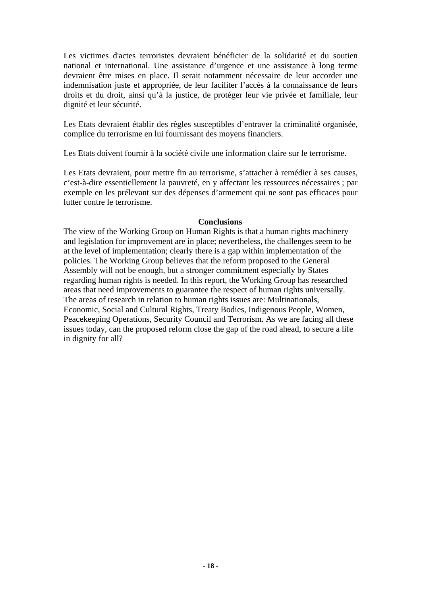Les victimes d'actes terroristes devraient bénéficier de la solidarité et du soutien national et international. Une assistance d'urgence et une assistance à long terme devraient être mises en place. Il serait notamment nécessaire de leur accorder une indemnisation juste et appropriée, de leur faciliter l'accès à la connaissance de leurs droits et du droit, ainsi qu'à la justice, de protéger leur vie privée et familiale, leur dignité et leur sécurité.

Les Etats devraient établir des règles susceptibles d'entraver la criminalité organisée, complice du terrorisme en lui fournissant des moyens financiers.

Les Etats doivent fournir à la société civile une information claire sur le terrorisme.

Les Etats devraient, pour mettre fin au terrorisme, s'attacher à remédier à ses causes, c'est-à-dire essentiellement la pauvreté, en y affectant les ressources nécessaires ; par exemple en les prélevant sur des dépenses d'armement qui ne sont pas efficaces pour lutter contre le terrorisme.

#### **Conclusions**

The view of the Working Group on Human Rights is that a human rights machinery and legislation for improvement are in place; nevertheless, the challenges seem to be at the level of implementation; clearly there is a gap within implementation of the policies. The Working Group believes that the reform proposed to the General Assembly will not be enough, but a stronger commitment especially by States regarding human rights is needed. In this report, the Working Group has researched areas that need improvements to guarantee the respect of human rights universally. The areas of research in relation to human rights issues are: Multinationals, Economic, Social and Cultural Rights, Treaty Bodies, Indigenous People, Women, Peacekeeping Operations, Security Council and Terrorism. As we are facing all these issues today, can the proposed reform close the gap of the road ahead, to secure a life in dignity for all?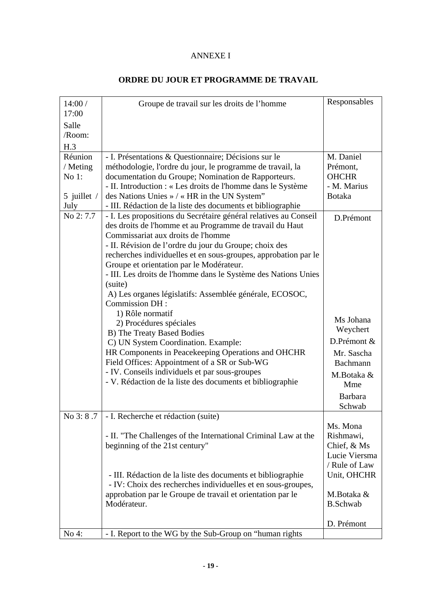#### ANNEXE I

| 14:00/              | Groupe de travail sur les droits de l'homme                      | Responsables    |
|---------------------|------------------------------------------------------------------|-----------------|
| 17:00               |                                                                  |                 |
| Salle               |                                                                  |                 |
| /Room:              |                                                                  |                 |
| H.3                 |                                                                  |                 |
| Réunion             | - I. Présentations & Questionnaire; Décisions sur le             | M. Daniel       |
| / Meting            | méthodologie, l'ordre du jour, le programme de travail, la       | Prémont,        |
| No $1$ :            | documentation du Groupe; Nomination de Rapporteurs.              | <b>OHCHR</b>    |
|                     | - II. Introduction : « Les droits de l'homme dans le Système     | - M. Marius     |
| 5 juillet $/$       | des Nations Unies » / « HR in the UN System"                     | <b>Botaka</b>   |
| July                | - III. Rédaction de la liste des documents et bibliographie      |                 |
| No 2:7.7            | - I. Les propositions du Secrétaire général relatives au Conseil | D.Prémont       |
|                     | des droits de l'homme et au Programme de travail du Haut         |                 |
|                     | Commissariat aux droits de l'homme                               |                 |
|                     | - II. Révision de l'ordre du jour du Groupe; choix des           |                 |
|                     | recherches individuelles et en sous-groupes, approbation par le  |                 |
|                     | Groupe et orientation par le Modérateur.                         |                 |
|                     | - III. Les droits de l'homme dans le Système des Nations Unies   |                 |
|                     | (suite)                                                          |                 |
|                     | A) Les organes législatifs: Assemblée générale, ECOSOC,          |                 |
|                     | Commission DH:                                                   |                 |
|                     | 1) Rôle normatif                                                 | Ms Johana       |
|                     | 2) Procédures spéciales                                          | Weychert        |
|                     | B) The Treaty Based Bodies                                       |                 |
|                     | C) UN System Coordination. Example:                              | D.Prémont &     |
|                     | HR Components in Peacekeeping Operations and OHCHR               | Mr. Sascha      |
|                     | Field Offices: Appointment of a SR or Sub-WG                     | Bachmann        |
|                     | - IV. Conseils individuels et par sous-groupes                   | M.Botaka &      |
|                     | - V. Rédaction de la liste des documents et bibliographie        | Mme             |
|                     |                                                                  | <b>Barbara</b>  |
|                     |                                                                  | Schwab          |
| $\text{No } 3: 8.7$ | - I. Recherche et rédaction (suite)                              |                 |
|                     |                                                                  | Ms. Mona        |
|                     | - II. "The Challenges of the International Criminal Law at the   | Rishmawi,       |
|                     | beginning of the 21st century"                                   | Chief, & Ms     |
|                     |                                                                  | Lucie Viersma   |
|                     |                                                                  | / Rule of Law   |
|                     | - III. Rédaction de la liste des documents et bibliographie      | Unit, OHCHR     |
|                     | - IV: Choix des recherches individuelles et en sous-groupes,     |                 |
|                     | approbation par le Groupe de travail et orientation par le       | M.Botaka &      |
|                     | Modérateur.                                                      | <b>B.Schwab</b> |
|                     |                                                                  |                 |
|                     |                                                                  | D. Prémont      |
| No 4:               | - I. Report to the WG by the Sub-Group on "human rights"         |                 |

### **ORDRE DU JOUR ET PROGRAMME DE TRAVAIL**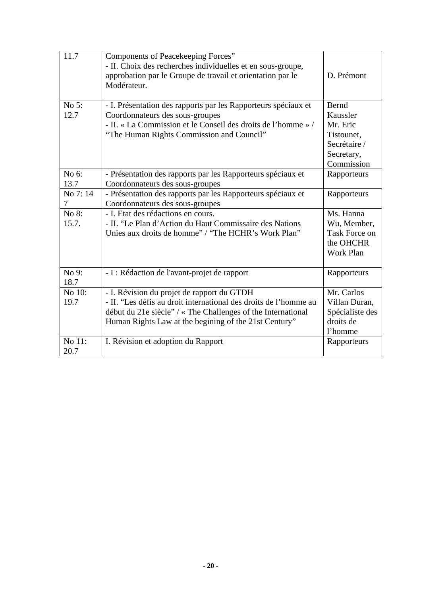| 11.7           | Components of Peacekeeping Forces"<br>- II. Choix des recherches individuelles et en sous-groupe,<br>approbation par le Groupe de travail et orientation par le<br>Modérateur.                                                          | D. Prémont                                                                                     |
|----------------|-----------------------------------------------------------------------------------------------------------------------------------------------------------------------------------------------------------------------------------------|------------------------------------------------------------------------------------------------|
| No 5:<br>12.7  | - I. Présentation des rapports par les Rapporteurs spéciaux et<br>Coordonnateurs des sous-groupes<br>- II. « La Commission et le Conseil des droits de l'homme » /<br>"The Human Rights Commission and Council"                         | <b>Bernd</b><br>Kaussler<br>Mr. Eric<br>Tistounet,<br>Secrétaire /<br>Secretary,<br>Commission |
| No 6:<br>13.7  | - Présentation des rapports par les Rapporteurs spéciaux et<br>Coordonnateurs des sous-groupes                                                                                                                                          | Rapporteurs                                                                                    |
| No 7:14<br>7   | - Présentation des rapports par les Rapporteurs spéciaux et<br>Coordonnateurs des sous-groupes                                                                                                                                          | Rapporteurs                                                                                    |
| No 8:<br>15.7. | - I. Etat des rédactions en cours.<br>- II. "Le Plan d'Action du Haut Commissaire des Nations<br>Unies aux droits de homme" / "The HCHR's Work Plan"                                                                                    | Ms. Hanna<br>Wu, Member,<br><b>Task Force on</b><br>the OHCHR<br><b>Work Plan</b>              |
| No 9:<br>18.7  | - I : Rédaction de l'avant-projet de rapport                                                                                                                                                                                            | Rapporteurs                                                                                    |
| No 10:<br>19.7 | - I. Révision du projet de rapport du GTDH<br>- II. "Les défis au droit international des droits de l'homme au<br>début du 21e siècle" / « The Challenges of the International<br>Human Rights Law at the begining of the 21st Century" | Mr. Carlos<br>Villan Duran,<br>Spécialiste des<br>droits de<br>l'homme                         |
| No 11:<br>20.7 | I. Révision et adoption du Rapport                                                                                                                                                                                                      | Rapporteurs                                                                                    |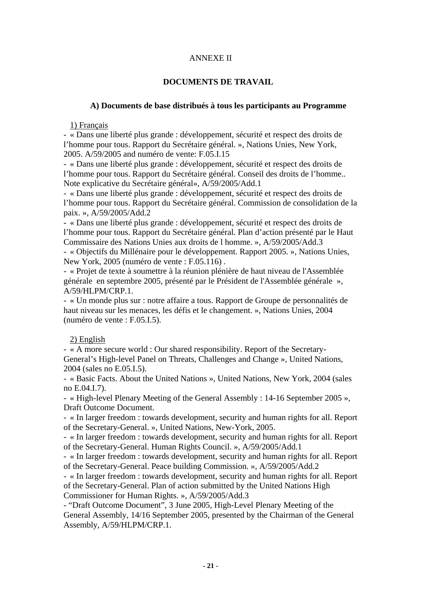#### ANNEXE II

#### **DOCUMENTS DE TRAVAIL**

#### **A) Documents de base distribués à tous les participants au Programme**

1) Français

- « Dans une liberté plus grande : développement, sécurité et respect des droits de l'homme pour tous. Rapport du Secrétaire général. », Nations Unies, New York, 2005. A/59/2005 and numéro de vente: F.05.I.15

- « Dans une liberté plus grande : développement, sécurité et respect des droits de l'homme pour tous. Rapport du Secrétaire général. Conseil des droits de l'homme.. Note explicative du Secrétaire général», A/59/2005/Add.1

- « Dans une liberté plus grande : développement, sécurité et respect des droits de l'homme pour tous. Rapport du Secrétaire général. Commission de consolidation de la paix. », A/59/2005/Add.2

- « Dans une liberté plus grande : développement, sécurité et respect des droits de l'homme pour tous. Rapport du Secrétaire général. Plan d'action présenté par le Haut Commissaire des Nations Unies aux droits de l homme. », A/59/2005/Add.3

- « Objectifs du Millénaire pour le développement. Rapport 2005. », Nations Unies, New York, 2005 (numéro de vente : F.05.116) .

- « Projet de texte à soumettre à la réunion plénière de haut niveau de l'Assemblée générale en septembre 2005, présenté par le Président de l'Assemblée générale », A/59/HLPM/CRP.1.

- « Un monde plus sur : notre affaire a tous. Rapport de Groupe de personnalités de haut niveau sur les menaces, les défis et le changement. », Nations Unies, 2004 (numéro de vente : F.05.I.5).

#### 2) English

- « A more secure world : Our shared responsibility. Report of the Secretary-General's High-level Panel on Threats, Challenges and Change », United Nations, 2004 (sales no E.05.I.5).

- « Basic Facts. About the United Nations », United Nations, New York, 2004 (sales no E.04.I.7).

- « High-level Plenary Meeting of the General Assembly : 14-16 September 2005 », Draft Outcome Document.

- « In larger freedom : towards development, security and human rights for all. Report of the Secretary-General. », United Nations, New-York, 2005.

- « In larger freedom : towards development, security and human rights for all. Report of the Secretary-General. Human Rights Council. », A/59/2005/Add.1

- « In larger freedom : towards development, security and human rights for all. Report of the Secretary-General. Peace building Commission. », A/59/2005/Add.2

- « In larger freedom : towards development, security and human rights for all. Report of the Secretary-General. Plan of action submitted by the United Nations High Commissioner for Human Rights. », A/59/2005/Add.3

- "Draft Outcome Document", 3 June 2005, High-Level Plenary Meeting of the General Assembly, 14/16 September 2005, presented by the Chairman of the General Assembly, A/59/HLPM/CRP.1.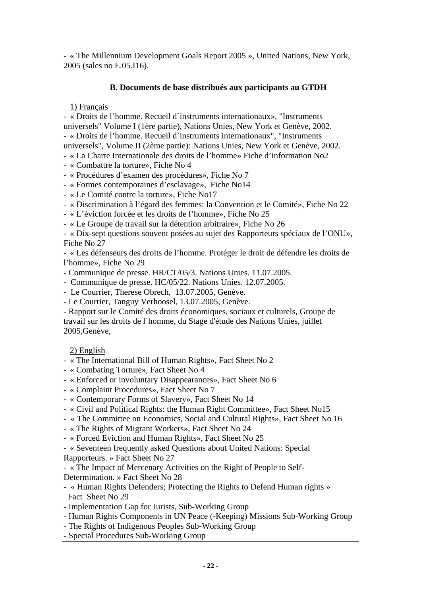- « The Millennium Development Goals Report 2005 », United Nations, New York, 2005 (sales no E.05.I16).

#### **B. Documents de base distribués aux participants au GTDH**

1) Français

- « Droits de l'homme. Recueil d`instruments internationaux», "Instruments universels" Volume I (1ère partie), Nations Unies, New York et Genève, 2002. - « Droits de l'homme. Recueil d`instruments internationaux", "Instruments

universels", Volume II (2ème partie): Nations Unies, New York et Genève, 2002.

- « La Charte Internationale des droits de l'homme» Fiche d'information No2
- « Combattre la torture», Fiche No 4

- « Procédures d'examen des procédures», Fiche No 7

- « Formes contemporaines d'esclavage», Fiche No14
- « Le Comité contre la torture», Fiche No17
- « Discrimination à l'égard des femmes: la Convention et le Comité», Fiche No 22
- « L'éviction forcée et les droits de l'homme», Fiche No 25
- « Le Groupe de travail sur la détention arbitraire», Fiche No 26

- « Dix-sept questions souvent posées au sujet des Rapporteurs spéciaux de l'ONU», Fiche No 27

- « Les défenseurs des droits de l'homme. Protéger le droit de défendre les droits de l'homme», Fiche No 29

- Communique de presse. HR/CT/05/3. Nations Unies. 11.07.2005.

- Communique de presse. HC/05/22. Nations Unies. 12.07.2005.

- Le Courrier, Therese Obrech, 13.07.2005, Genève.
- Le Courrier, Tanguy Verhoosel, 13.07.2005, Genève.

- Rapport sur le Comité des droits économiques, sociaux et culturels, Groupe de travail sur les droits de l´homme, du Stage d'étude des Nations Unies, juillet 2005,Genève,

#### 2) English

- « The International Bill of Human Rights», Fact Sheet No 2
- « Combating Torture», Fact Sheet No 4
- « Enforced or involuntary Disappearances», Fact Sheet No 6
- « Complaint Procedures», Fact Sheet No 7
- « Contemporary Forms of Slavery», Fact Sheet No 14
- « Civil and Political Rights: the Human Right Committee», Fact Sheet No15
- « The Committee on Economics, Social and Cultural Rights», Fact Sheet No 16
- « The Rights of Migrant Workers», Fact Sheet No 24
- « Forced Eviction and Human Rights», Fact Sheet No 25

- « Seventeen frequently asked Questions about United Nations: Special

Rapporteurs. » Fact Sheet No 27

- « The Impact of Mercenary Activities on the Right of People to Self-Determination. » Fact Sheet No 28

- « Human Rights Defenders; Protecting the Rights to Defend Human rights » Fact Sheet No 29

- Implementation Gap for Jurists, Sub-Working Group
- Human Rights Components in UN Peace (-Keeping) Missions Sub-Working Group
- The Rights of Indigenous Peoples Sub-Working Group
- Special Procedures Sub-Working Group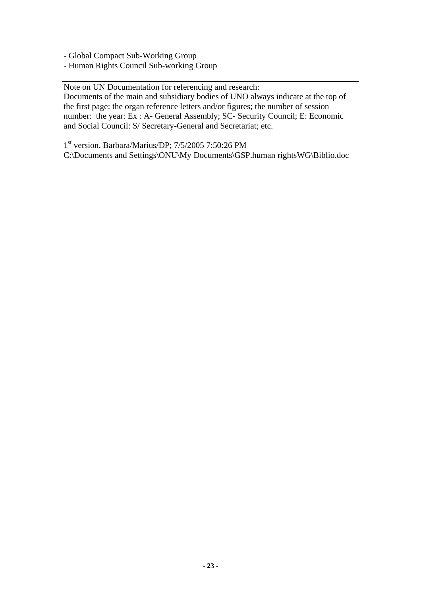- Global Compact Sub-Working Group

- Human Rights Council Sub-working Group

Note on UN Documentation for referencing and research:

Documents of the main and subsidiary bodies of UNO always indicate at the top of the first page: the organ reference letters and/or figures; the number of session number: the year: Ex : A- General Assembly; SC- Security Council; E: Economic and Social Council: S/ Secretary-General and Secretariat; etc.

1st version. Barbara/Marius/DP; 7/5/2005 7:50:26 PM

C:\Documents and Settings\ONU\My Documents\GSP.human rightsWG\Biblio.doc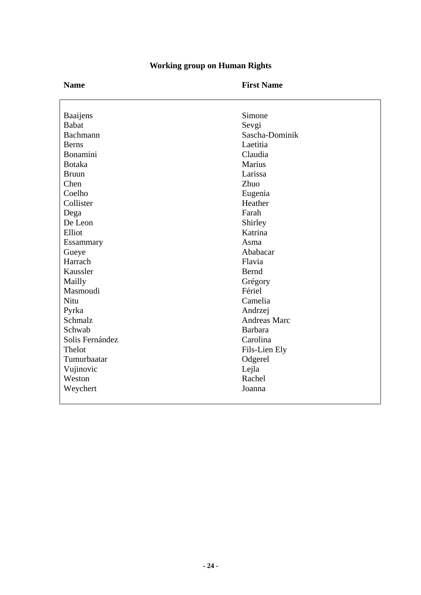| <b>Working group on Human Rights</b> |  |
|--------------------------------------|--|
|--------------------------------------|--|

|                                 | Simone              |
|---------------------------------|---------------------|
| <b>Baaijens</b><br><b>Babat</b> | Sevgi               |
| Bachmann                        | Sascha-Dominik      |
| <b>Berns</b>                    | Laetitia            |
| Bonamini                        | Claudia             |
| <b>Botaka</b>                   | Marius              |
| <b>Bruun</b>                    | Larissa             |
| Chen                            | Zhuo                |
| Coelho                          | Eugenia             |
| Collister                       | Heather             |
| Dega                            | Farah               |
| De Leon                         | Shirley             |
| Elliot                          | Katrina             |
| Essammary                       | Asma                |
| Gueye                           | Ababacar            |
| Harrach                         | Flavia              |
| Kaussler                        | Bernd               |
| Mailly                          | Grégory             |
| Masmoudi                        | Fériel              |
| Nitu                            | Camelia             |
| Pyrka                           | Andrzej             |
| Schmalz                         | <b>Andreas Marc</b> |
| Schwab                          | <b>Barbara</b>      |
| Solis Fernández                 | Carolina            |
| Thelot                          | Fils-Lien Ely       |
| Tumurbaatar                     | Odgerel             |
| Vujinovic                       | Lejla               |
| Weston                          | Rachel              |
| Weychert                        | Joanna              |
|                                 |                     |

# **- 24 -**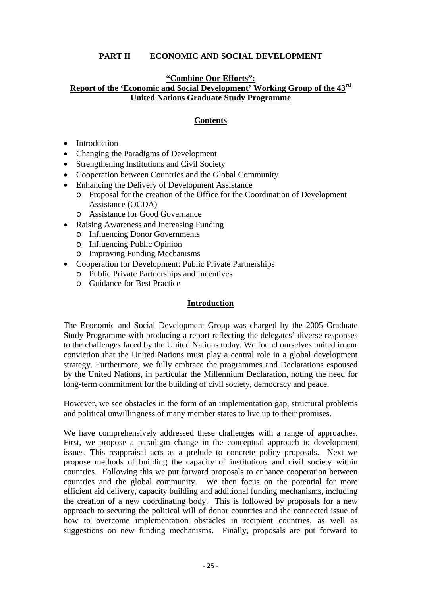#### **PART II ECONOMIC AND SOCIAL DEVELOPMENT**

#### **"Combine Our Efforts": Report of the 'Economic and Social Development' Working Group of the 43rd United Nations Graduate Study Programme**

#### **Contents**

- Introduction
- Changing the Paradigms of Development
- Strengthening Institutions and Civil Society
- Cooperation between Countries and the Global Community
- Enhancing the Delivery of Development Assistance
	- o Proposal for the creation of the Office for the Coordination of Development Assistance (OCDA)
	- o Assistance for Good Governance
- Raising Awareness and Increasing Funding
	- o Influencing Donor Governments
	- o Influencing Public Opinion
	- o Improving Funding Mechanisms
- Cooperation for Development: Public Private Partnerships
	- o Public Private Partnerships and Incentives
	- o Guidance for Best Practice

#### **Introduction**

The Economic and Social Development Group was charged by the 2005 Graduate Study Programme with producing a report reflecting the delegates' diverse responses to the challenges faced by the United Nations today. We found ourselves united in our conviction that the United Nations must play a central role in a global development strategy. Furthermore, we fully embrace the programmes and Declarations espoused by the United Nations, in particular the Millennium Declaration, noting the need for long-term commitment for the building of civil society, democracy and peace.

However, we see obstacles in the form of an implementation gap, structural problems and political unwillingness of many member states to live up to their promises.

We have comprehensively addressed these challenges with a range of approaches. First, we propose a paradigm change in the conceptual approach to development issues. This reappraisal acts as a prelude to concrete policy proposals. Next we propose methods of building the capacity of institutions and civil society within countries. Following this we put forward proposals to enhance cooperation between countries and the global community. We then focus on the potential for more efficient aid delivery, capacity building and additional funding mechanisms, including the creation of a new coordinating body. This is followed by proposals for a new approach to securing the political will of donor countries and the connected issue of how to overcome implementation obstacles in recipient countries, as well as suggestions on new funding mechanisms. Finally, proposals are put forward to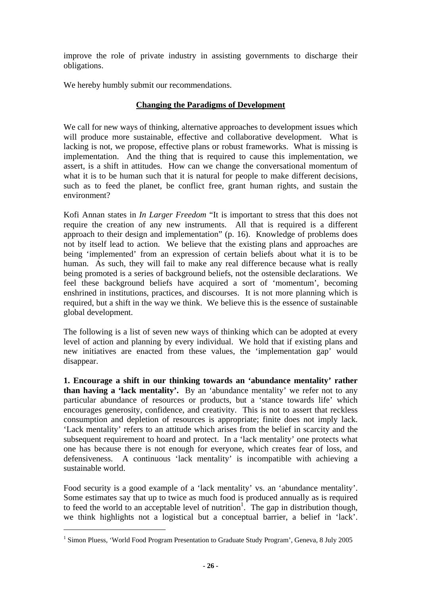improve the role of private industry in assisting governments to discharge their obligations.

We hereby humbly submit our recommendations.

#### **Changing the Paradigms of Development**

We call for new ways of thinking, alternative approaches to development issues which will produce more sustainable, effective and collaborative development. What is lacking is not, we propose, effective plans or robust frameworks. What is missing is implementation. And the thing that is required to cause this implementation, we assert, is a shift in attitudes. How can we change the conversational momentum of what it is to be human such that it is natural for people to make different decisions, such as to feed the planet, be conflict free, grant human rights, and sustain the environment?

Kofi Annan states in *In Larger Freedom* "It is important to stress that this does not require the creation of any new instruments. All that is required is a different approach to their design and implementation" (p. 16). Knowledge of problems does not by itself lead to action. We believe that the existing plans and approaches are being 'implemented' from an expression of certain beliefs about what it is to be human. As such, they will fail to make any real difference because what is really being promoted is a series of background beliefs, not the ostensible declarations. We feel these background beliefs have acquired a sort of 'momentum', becoming enshrined in institutions, practices, and discourses. It is not more planning which is required, but a shift in the way we think. We believe this is the essence of sustainable global development.

The following is a list of seven new ways of thinking which can be adopted at every level of action and planning by every individual. We hold that if existing plans and new initiatives are enacted from these values, the 'implementation gap' would disappear.

**1. Encourage a shift in our thinking towards an 'abundance mentality' rather than having a 'lack mentality'.** By an 'abundance mentality' we refer not to any particular abundance of resources or products, but a 'stance towards life' which encourages generosity, confidence, and creativity. This is not to assert that reckless consumption and depletion of resources is appropriate; finite does not imply lack. 'Lack mentality' refers to an attitude which arises from the belief in scarcity and the subsequent requirement to hoard and protect. In a 'lack mentality' one protects what one has because there is not enough for everyone, which creates fear of loss, and defensiveness. A continuous 'lack mentality' is incompatible with achieving a sustainable world.

Food security is a good example of a 'lack mentality' vs. an 'abundance mentality'. Some estimates say that up to twice as much food is produced annually as is required to feed the world to an acceptable level of nutrition<sup>[1](#page-25-0)</sup>. The gap in distribution though, we think highlights not a logistical but a conceptual barrier, a belief in 'lack'.

 $\overline{a}$ 

<span id="page-25-0"></span><sup>&</sup>lt;sup>1</sup> Simon Pluess, 'World Food Program Presentation to Graduate Study Program', Geneva, 8 July 2005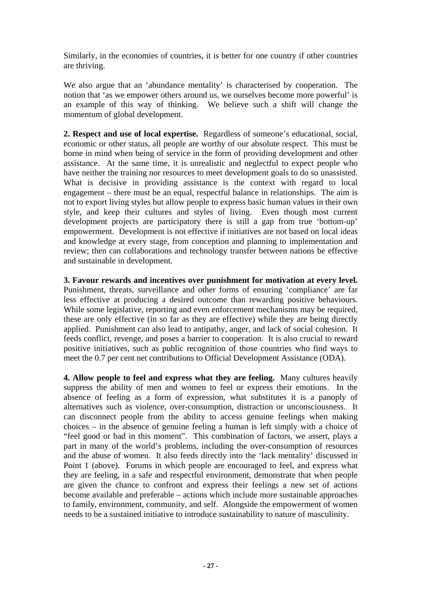Similarly, in the economies of countries, it is better for one country if other countries are thriving.

We also argue that an 'abundance mentality' is characterised by cooperation. The notion that 'as we empower others around us, we ourselves become more powerful' is an example of this way of thinking. We believe such a shift will change the momentum of global development.

**2. Respect and use of local expertise.** Regardless of someone's educational, social, economic or other status, all people are worthy of our absolute respect. This must be borne in mind when being of service in the form of providing development and other assistance. At the same time, it is unrealistic and neglectful to expect people who have neither the training nor resources to meet development goals to do so unassisted. What is decisive in providing assistance is the context with regard to local engagement – there must be an equal, respectful balance in relationships. The aim is not to export living styles but allow people to express basic human values in their own style, and keep their cultures and styles of living. Even though most current development projects are participatory there is still a gap from true 'bottom-up' empowerment. Development is not effective if initiatives are not based on local ideas and knowledge at every stage, from conception and planning to implementation and review; then can collaborations and technology transfer between nations be effective and sustainable in development.

**3. Favour rewards and incentives over punishment for motivation at every level.** Punishment, threats, surveillance and other forms of ensuring 'compliance' are far less effective at producing a desired outcome than rewarding positive behaviours. While some legislative, reporting and even enforcement mechanisms may be required, these are only effective (in so far as they are effective) while they are being directly applied. Punishment can also lead to antipathy, anger, and lack of social cohesion. It feeds conflict, revenge, and poses a barrier to cooperation. It is also crucial to reward positive initiatives, such as public recognition of those countries who find ways to meet the 0.7 per cent net contributions to Official Development Assistance (ODA).

**4. Allow people to feel and express what they are feeling.** Many cultures heavily suppress the ability of men and women to feel or express their emotions. In the absence of feeling as a form of expression, what substitutes it is a panoply of alternatives such as violence, over-consumption, distraction or unconsciousness. It can disconnect people from the ability to access genuine feelings when making choices – in the absence of genuine feeling a human is left simply with a choice of "feel good or bad in this moment". This combination of factors, we assert, plays a part in many of the world's problems, including the over-consumption of resources and the abuse of women. It also feeds directly into the 'lack mentality' discussed in Point 1 (above). Forums in which people are encouraged to feel, and express what they are feeling, in a safe and respectful environment, demonstrate that when people are given the chance to confront and express their feelings a new set of actions become available and preferable – actions which include more sustainable approaches to family, environment, community, and self. Alongside the empowerment of women needs to be a sustained initiative to introduce sustainability to nature of masculinity.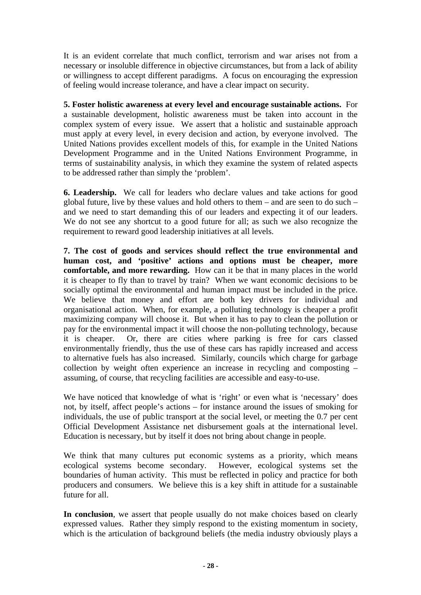It is an evident correlate that much conflict, terrorism and war arises not from a necessary or insoluble difference in objective circumstances, but from a lack of ability or willingness to accept different paradigms. A focus on encouraging the expression of feeling would increase tolerance, and have a clear impact on security.

**5. Foster holistic awareness at every level and encourage sustainable actions.** For a sustainable development, holistic awareness must be taken into account in the complex system of every issue. We assert that a holistic and sustainable approach must apply at every level, in every decision and action, by everyone involved. The United Nations provides excellent models of this, for example in the United Nations Development Programme and in the United Nations Environment Programme, in terms of sustainability analysis, in which they examine the system of related aspects to be addressed rather than simply the 'problem'.

**6. Leadership.** We call for leaders who declare values and take actions for good global future, live by these values and hold others to them – and are seen to do such – and we need to start demanding this of our leaders and expecting it of our leaders. We do not see any shortcut to a good future for all; as such we also recognize the requirement to reward good leadership initiatives at all levels.

**7. The cost of goods and services should reflect the true environmental and human cost, and 'positive' actions and options must be cheaper, more comfortable, and more rewarding.** How can it be that in many places in the world it is cheaper to fly than to travel by train? When we want economic decisions to be socially optimal the environmental and human impact must be included in the price. We believe that money and effort are both key drivers for individual and organisational action. When, for example, a polluting technology is cheaper a profit maximizing company will choose it. But when it has to pay to clean the pollution or pay for the environmental impact it will choose the non-polluting technology, because it is cheaper. Or, there are cities where parking is free for cars classed environmentally friendly, thus the use of these cars has rapidly increased and access to alternative fuels has also increased. Similarly, councils which charge for garbage collection by weight often experience an increase in recycling and composting – assuming, of course, that recycling facilities are accessible and easy-to-use.

We have noticed that knowledge of what is 'right' or even what is 'necessary' does not, by itself, affect people's actions – for instance around the issues of smoking for individuals, the use of public transport at the social level, or meeting the 0.7 per cent Official Development Assistance net disbursement goals at the international level. Education is necessary, but by itself it does not bring about change in people.

We think that many cultures put economic systems as a priority, which means ecological systems become secondary. However, ecological systems set the boundaries of human activity. This must be reflected in policy and practice for both producers and consumers. We believe this is a key shift in attitude for a sustainable future for all.

In conclusion, we assert that people usually do not make choices based on clearly expressed values. Rather they simply respond to the existing momentum in society, which is the articulation of background beliefs (the media industry obviously plays a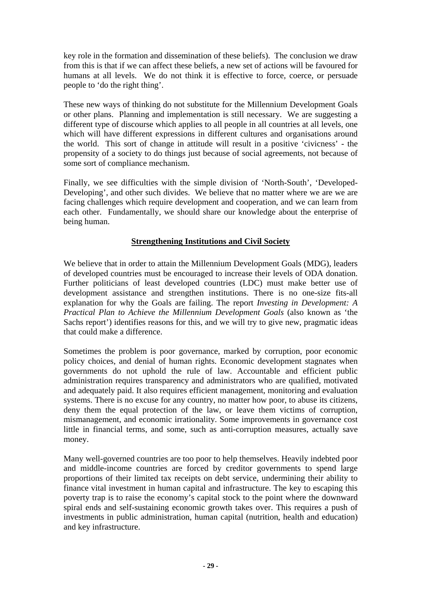key role in the formation and dissemination of these beliefs). The conclusion we draw from this is that if we can affect these beliefs, a new set of actions will be favoured for humans at all levels. We do not think it is effective to force, coerce, or persuade people to 'do the right thing'.

These new ways of thinking do not substitute for the Millennium Development Goals or other plans. Planning and implementation is still necessary. We are suggesting a different type of discourse which applies to all people in all countries at all levels, one which will have different expressions in different cultures and organisations around the world. This sort of change in attitude will result in a positive 'civicness' - the propensity of a society to do things just because of social agreements, not because of some sort of compliance mechanism.

Finally, we see difficulties with the simple division of 'North-South', 'Developed-Developing', and other such divides. We believe that no matter where we are we are facing challenges which require development and cooperation, and we can learn from each other. Fundamentally, we should share our knowledge about the enterprise of being human.

#### **Strengthening Institutions and Civil Society**

We believe that in order to attain the Millennium Development Goals (MDG), leaders of developed countries must be encouraged to increase their levels of ODA donation. Further politicians of least developed countries (LDC) must make better use of development assistance and strengthen institutions. There is no one-size fits-all explanation for why the Goals are failing. The report *Investing in Development: A Practical Plan to Achieve the Millennium Development Goals* (also known as 'the Sachs report') identifies reasons for this, and we will try to give new, pragmatic ideas that could make a difference.

Sometimes the problem is poor governance, marked by corruption, poor economic policy choices, and denial of human rights. Economic development stagnates when governments do not uphold the rule of law. Accountable and efficient public administration requires transparency and administrators who are qualified, motivated and adequately paid. It also requires efficient management, monitoring and evaluation systems. There is no excuse for any country, no matter how poor, to abuse its citizens, deny them the equal protection of the law, or leave them victims of corruption, mismanagement, and economic irrationality. Some improvements in governance cost little in financial terms, and some, such as anti-corruption measures, actually save money.

Many well-governed countries are too poor to help themselves. Heavily indebted poor and middle-income countries are forced by creditor governments to spend large proportions of their limited tax receipts on debt service, undermining their ability to finance vital investment in human capital and infrastructure. The key to escaping this poverty trap is to raise the economy's capital stock to the point where the downward spiral ends and self-sustaining economic growth takes over. This requires a push of investments in public administration, human capital (nutrition, health and education) and key infrastructure.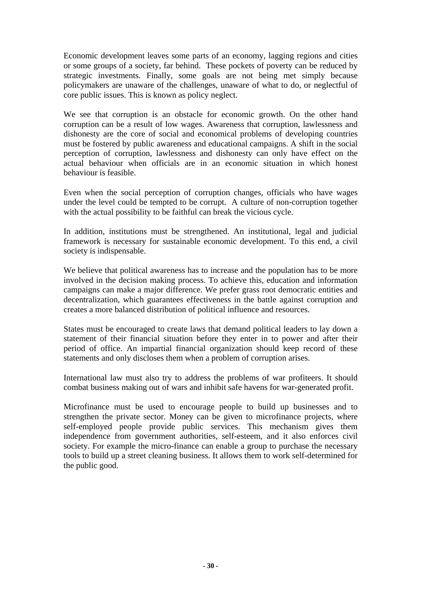Economic development leaves some parts of an economy, lagging regions and cities or some groups of a society, far behind. These pockets of poverty can be reduced by strategic investments. Finally, some goals are not being met simply because policymakers are unaware of the challenges, unaware of what to do, or neglectful of core public issues. This is known as policy neglect.

We see that corruption is an obstacle for economic growth. On the other hand corruption can be a result of low wages. Awareness that corruption, lawlessness and dishonesty are the core of social and economical problems of developing countries must be fostered by public awareness and educational campaigns. A shift in the social perception of corruption, lawlessness and dishonesty can only have effect on the actual behaviour when officials are in an economic situation in which honest behaviour is feasible.

Even when the social perception of corruption changes, officials who have wages under the level could be tempted to be corrupt. A culture of non-corruption together with the actual possibility to be faithful can break the vicious cycle.

In addition, institutions must be strengthened. An institutional, legal and judicial framework is necessary for sustainable economic development. To this end, a civil society is indispensable.

We believe that political awareness has to increase and the population has to be more involved in the decision making process. To achieve this, education and information campaigns can make a major difference. We prefer grass root democratic entities and decentralization, which guarantees effectiveness in the battle against corruption and creates a more balanced distribution of political influence and resources.

States must be encouraged to create laws that demand political leaders to lay down a statement of their financial situation before they enter in to power and after their period of office. An impartial financial organization should keep record of these statements and only discloses them when a problem of corruption arises.

International law must also try to address the problems of war profiteers. It should combat business making out of wars and inhibit safe havens for war-generated profit.

Microfinance must be used to encourage people to build up businesses and to strengthen the private sector. Money can be given to microfinance projects, where self-employed people provide public services. This mechanism gives them independence from government authorities, self-esteem, and it also enforces civil society. For example the micro-finance can enable a group to purchase the necessary tools to build up a street cleaning business. It allows them to work self-determined for the public good.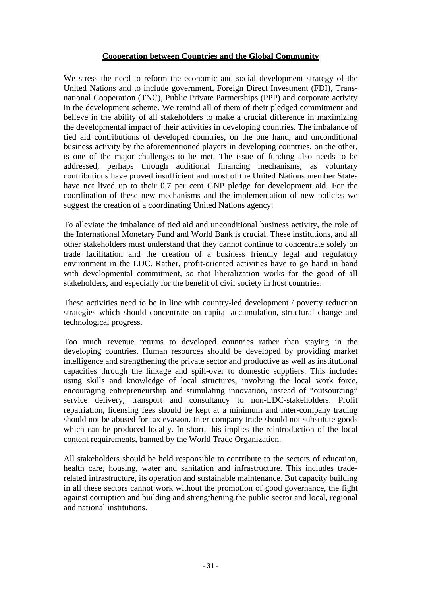#### **Cooperation between Countries and the Global Community**

We stress the need to reform the economic and social development strategy of the United Nations and to include government, Foreign Direct Investment (FDI), Transnational Cooperation (TNC), Public Private Partnerships (PPP) and corporate activity in the development scheme. We remind all of them of their pledged commitment and believe in the ability of all stakeholders to make a crucial difference in maximizing the developmental impact of their activities in developing countries. The imbalance of tied aid contributions of developed countries, on the one hand, and unconditional business activity by the aforementioned players in developing countries, on the other, is one of the major challenges to be met. The issue of funding also needs to be addressed, perhaps through additional financing mechanisms, as voluntary contributions have proved insufficient and most of the United Nations member States have not lived up to their 0.7 per cent GNP pledge for development aid. For the coordination of these new mechanisms and the implementation of new policies we suggest the creation of a coordinating United Nations agency.

To alleviate the imbalance of tied aid and unconditional business activity, the role of the International Monetary Fund and World Bank is crucial. These institutions, and all other stakeholders must understand that they cannot continue to concentrate solely on trade facilitation and the creation of a business friendly legal and regulatory environment in the LDC. Rather, profit-oriented activities have to go hand in hand with developmental commitment, so that liberalization works for the good of all stakeholders, and especially for the benefit of civil society in host countries.

These activities need to be in line with country-led development / poverty reduction strategies which should concentrate on capital accumulation, structural change and technological progress.

Too much revenue returns to developed countries rather than staying in the developing countries. Human resources should be developed by providing market intelligence and strengthening the private sector and productive as well as institutional capacities through the linkage and spill-over to domestic suppliers. This includes using skills and knowledge of local structures, involving the local work force, encouraging entrepreneurship and stimulating innovation, instead of "outsourcing" service delivery, transport and consultancy to non-LDC-stakeholders. Profit repatriation, licensing fees should be kept at a minimum and inter-company trading should not be abused for tax evasion. Inter-company trade should not substitute goods which can be produced locally. In short, this implies the reintroduction of the local content requirements, banned by the World Trade Organization.

All stakeholders should be held responsible to contribute to the sectors of education, health care, housing, water and sanitation and infrastructure. This includes traderelated infrastructure, its operation and sustainable maintenance. But capacity building in all these sectors cannot work without the promotion of good governance, the fight against corruption and building and strengthening the public sector and local, regional and national institutions.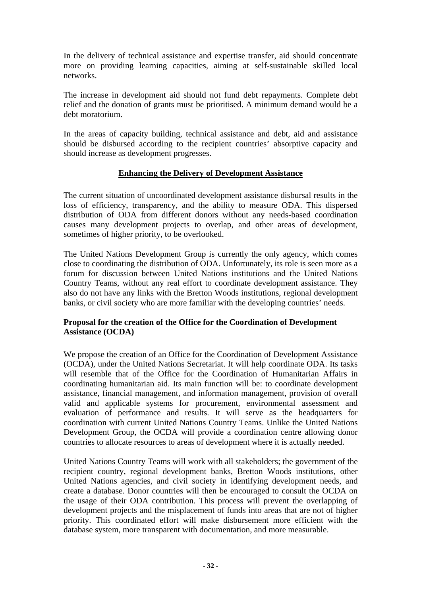In the delivery of technical assistance and expertise transfer, aid should concentrate more on providing learning capacities, aiming at self-sustainable skilled local networks.

The increase in development aid should not fund debt repayments. Complete debt relief and the donation of grants must be prioritised. A minimum demand would be a debt moratorium.

In the areas of capacity building, technical assistance and debt, aid and assistance should be disbursed according to the recipient countries' absorptive capacity and should increase as development progresses.

#### **Enhancing the Delivery of Development Assistance**

The current situation of uncoordinated development assistance disbursal results in the loss of efficiency, transparency, and the ability to measure ODA. This dispersed distribution of ODA from different donors without any needs-based coordination causes many development projects to overlap, and other areas of development, sometimes of higher priority, to be overlooked.

The United Nations Development Group is currently the only agency, which comes close to coordinating the distribution of ODA. Unfortunately, its role is seen more as a forum for discussion between United Nations institutions and the United Nations Country Teams, without any real effort to coordinate development assistance. They also do not have any links with the Bretton Woods institutions, regional development banks, or civil society who are more familiar with the developing countries' needs.

#### **Proposal for the creation of the Office for the Coordination of Development Assistance (OCDA)**

We propose the creation of an Office for the Coordination of Development Assistance (OCDA), under the United Nations Secretariat. It will help coordinate ODA. Its tasks will resemble that of the Office for the Coordination of Humanitarian Affairs in coordinating humanitarian aid. Its main function will be: to coordinate development assistance, financial management, and information management, provision of overall valid and applicable systems for procurement, environmental assessment and evaluation of performance and results. It will serve as the headquarters for coordination with current United Nations Country Teams. Unlike the United Nations Development Group, the OCDA will provide a coordination centre allowing donor countries to allocate resources to areas of development where it is actually needed.

United Nations Country Teams will work with all stakeholders; the government of the recipient country, regional development banks, Bretton Woods institutions, other United Nations agencies, and civil society in identifying development needs, and create a database. Donor countries will then be encouraged to consult the OCDA on the usage of their ODA contribution. This process will prevent the overlapping of development projects and the misplacement of funds into areas that are not of higher priority. This coordinated effort will make disbursement more efficient with the database system, more transparent with documentation, and more measurable.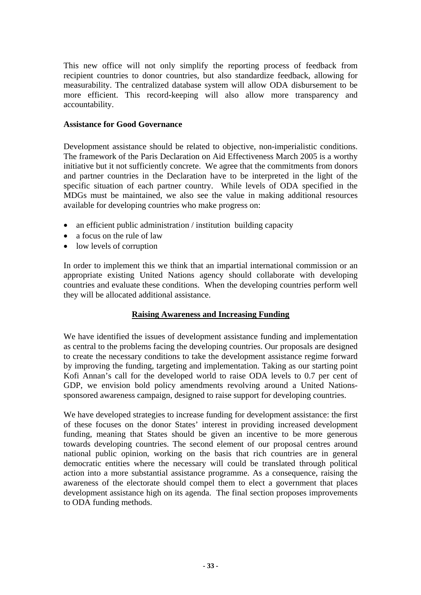This new office will not only simplify the reporting process of feedback from recipient countries to donor countries, but also standardize feedback, allowing for measurability. The centralized database system will allow ODA disbursement to be more efficient. This record-keeping will also allow more transparency and accountability.

#### **Assistance for Good Governance**

Development assistance should be related to objective, non-imperialistic conditions. The framework of the Paris Declaration on Aid Effectiveness March 2005 is a worthy initiative but it not sufficiently concrete. We agree that the commitments from donors and partner countries in the Declaration have to be interpreted in the light of the specific situation of each partner country. While levels of ODA specified in the MDGs must be maintained, we also see the value in making additional resources available for developing countries who make progress on:

- an efficient public administration / institution building capacity
- a focus on the rule of law
- low levels of corruption

In order to implement this we think that an impartial international commission or an appropriate existing United Nations agency should collaborate with developing countries and evaluate these conditions. When the developing countries perform well they will be allocated additional assistance.

#### **Raising Awareness and Increasing Funding**

We have identified the issues of development assistance funding and implementation as central to the problems facing the developing countries. Our proposals are designed to create the necessary conditions to take the development assistance regime forward by improving the funding, targeting and implementation. Taking as our starting point Kofi Annan's call for the developed world to raise ODA levels to 0.7 per cent of GDP, we envision bold policy amendments revolving around a United Nationssponsored awareness campaign, designed to raise support for developing countries.

We have developed strategies to increase funding for development assistance: the first of these focuses on the donor States' interest in providing increased development funding, meaning that States should be given an incentive to be more generous towards developing countries. The second element of our proposal centres around national public opinion, working on the basis that rich countries are in general democratic entities where the necessary will could be translated through political action into a more substantial assistance programme. As a consequence, raising the awareness of the electorate should compel them to elect a government that places development assistance high on its agenda. The final section proposes improvements to ODA funding methods.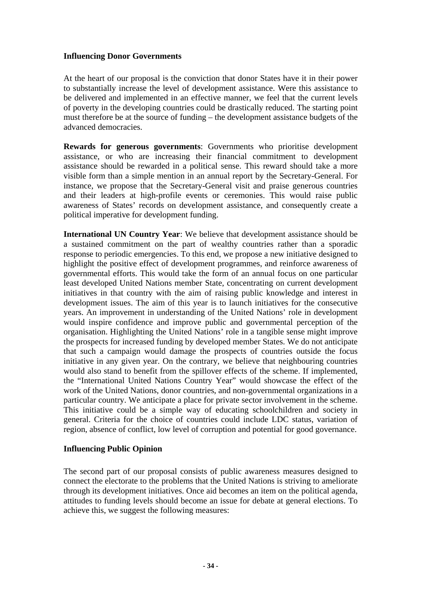#### **Influencing Donor Governments**

At the heart of our proposal is the conviction that donor States have it in their power to substantially increase the level of development assistance. Were this assistance to be delivered and implemented in an effective manner, we feel that the current levels of poverty in the developing countries could be drastically reduced. The starting point must therefore be at the source of funding – the development assistance budgets of the advanced democracies.

**Rewards for generous governments**: Governments who prioritise development assistance, or who are increasing their financial commitment to development assistance should be rewarded in a political sense. This reward should take a more visible form than a simple mention in an annual report by the Secretary-General. For instance, we propose that the Secretary-General visit and praise generous countries and their leaders at high-profile events or ceremonies. This would raise public awareness of States' records on development assistance, and consequently create a political imperative for development funding.

**International UN Country Year**: We believe that development assistance should be a sustained commitment on the part of wealthy countries rather than a sporadic response to periodic emergencies. To this end, we propose a new initiative designed to highlight the positive effect of development programmes, and reinforce awareness of governmental efforts. This would take the form of an annual focus on one particular least developed United Nations member State, concentrating on current development initiatives in that country with the aim of raising public knowledge and interest in development issues. The aim of this year is to launch initiatives for the consecutive years. An improvement in understanding of the United Nations' role in development would inspire confidence and improve public and governmental perception of the organisation. Highlighting the United Nations' role in a tangible sense might improve the prospects for increased funding by developed member States. We do not anticipate that such a campaign would damage the prospects of countries outside the focus initiative in any given year. On the contrary, we believe that neighbouring countries would also stand to benefit from the spillover effects of the scheme. If implemented, the "International United Nations Country Year" would showcase the effect of the work of the United Nations, donor countries, and non-governmental organizations in a particular country. We anticipate a place for private sector involvement in the scheme. This initiative could be a simple way of educating schoolchildren and society in general. Criteria for the choice of countries could include LDC status, variation of region, absence of conflict, low level of corruption and potential for good governance.

#### **Influencing Public Opinion**

The second part of our proposal consists of public awareness measures designed to connect the electorate to the problems that the United Nations is striving to ameliorate through its development initiatives. Once aid becomes an item on the political agenda, attitudes to funding levels should become an issue for debate at general elections. To achieve this, we suggest the following measures: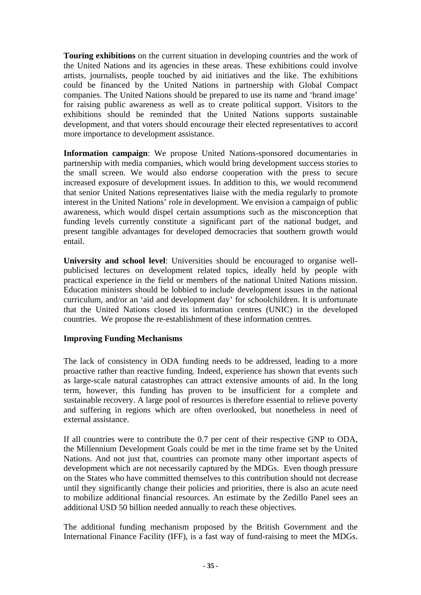**Touring exhibitions** on the current situation in developing countries and the work of the United Nations and its agencies in these areas. These exhibitions could involve artists, journalists, people touched by aid initiatives and the like. The exhibitions could be financed by the United Nations in partnership with Global Compact companies. The United Nations should be prepared to use its name and 'brand image' for raising public awareness as well as to create political support. Visitors to the exhibitions should be reminded that the United Nations supports sustainable development, and that voters should encourage their elected representatives to accord more importance to development assistance.

**Information campaign**: We propose United Nations-sponsored documentaries in partnership with media companies, which would bring development success stories to the small screen. We would also endorse cooperation with the press to secure increased exposure of development issues. In addition to this, we would recommend that senior United Nations representatives liaise with the media regularly to promote interest in the United Nations' role in development. We envision a campaign of public awareness, which would dispel certain assumptions such as the misconception that funding levels currently constitute a significant part of the national budget, and present tangible advantages for developed democracies that southern growth would entail.

**University and school level**: Universities should be encouraged to organise wellpublicised lectures on development related topics, ideally held by people with practical experience in the field or members of the national United Nations mission. Education ministers should be lobbied to include development issues in the national curriculum, and/or an 'aid and development day' for schoolchildren. It is unfortunate that the United Nations closed its information centres (UNIC) in the developed countries. We propose the re-establishment of these information centres.

#### **Improving Funding Mechanisms**

The lack of consistency in ODA funding needs to be addressed, leading to a more proactive rather than reactive funding. Indeed, experience has shown that events such as large-scale natural catastrophes can attract extensive amounts of aid. In the long term, however, this funding has proven to be insufficient for a complete and sustainable recovery. A large pool of resources is therefore essential to relieve poverty and suffering in regions which are often overlooked, but nonetheless in need of external assistance.

If all countries were to contribute the 0.7 per cent of their respective GNP to ODA, the Millennium Development Goals could be met in the time frame set by the United Nations. And not just that, countries can promote many other important aspects of development which are not necessarily captured by the MDGs. Even though pressure on the States who have committed themselves to this contribution should not decrease until they significantly change their policies and priorities, there is also an acute need to mobilize additional financial resources. An estimate by the Zedillo Panel sees an additional USD 50 billion needed annually to reach these objectives.

The additional funding mechanism proposed by the British Government and the International Finance Facility (IFF), is a fast way of fund-raising to meet the MDGs.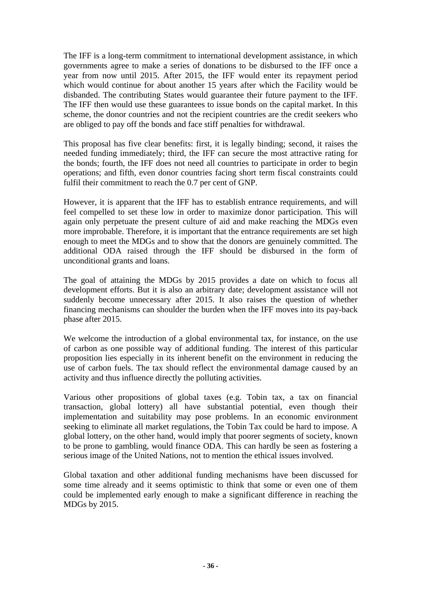The IFF is a long-term commitment to international development assistance, in which governments agree to make a series of donations to be disbursed to the IFF once a year from now until 2015. After 2015, the IFF would enter its repayment period which would continue for about another 15 years after which the Facility would be disbanded. The contributing States would guarantee their future payment to the IFF. The IFF then would use these guarantees to issue bonds on the capital market. In this scheme, the donor countries and not the recipient countries are the credit seekers who are obliged to pay off the bonds and face stiff penalties for withdrawal.

This proposal has five clear benefits: first, it is legally binding; second, it raises the needed funding immediately; third, the IFF can secure the most attractive rating for the bonds; fourth, the IFF does not need all countries to participate in order to begin operations; and fifth, even donor countries facing short term fiscal constraints could fulfil their commitment to reach the 0.7 per cent of GNP.

However, it is apparent that the IFF has to establish entrance requirements, and will feel compelled to set these low in order to maximize donor participation. This will again only perpetuate the present culture of aid and make reaching the MDGs even more improbable. Therefore, it is important that the entrance requirements are set high enough to meet the MDGs and to show that the donors are genuinely committed. The additional ODA raised through the IFF should be disbursed in the form of unconditional grants and loans.

The goal of attaining the MDGs by 2015 provides a date on which to focus all development efforts. But it is also an arbitrary date; development assistance will not suddenly become unnecessary after 2015. It also raises the question of whether financing mechanisms can shoulder the burden when the IFF moves into its pay-back phase after 2015.

We welcome the introduction of a global environmental tax, for instance, on the use of carbon as one possible way of additional funding. The interest of this particular proposition lies especially in its inherent benefit on the environment in reducing the use of carbon fuels. The tax should reflect the environmental damage caused by an activity and thus influence directly the polluting activities.

Various other propositions of global taxes (e.g. Tobin tax, a tax on financial transaction, global lottery) all have substantial potential, even though their implementation and suitability may pose problems. In an economic environment seeking to eliminate all market regulations, the Tobin Tax could be hard to impose. A global lottery, on the other hand, would imply that poorer segments of society, known to be prone to gambling, would finance ODA. This can hardly be seen as fostering a serious image of the United Nations, not to mention the ethical issues involved.

Global taxation and other additional funding mechanisms have been discussed for some time already and it seems optimistic to think that some or even one of them could be implemented early enough to make a significant difference in reaching the MDGs by 2015.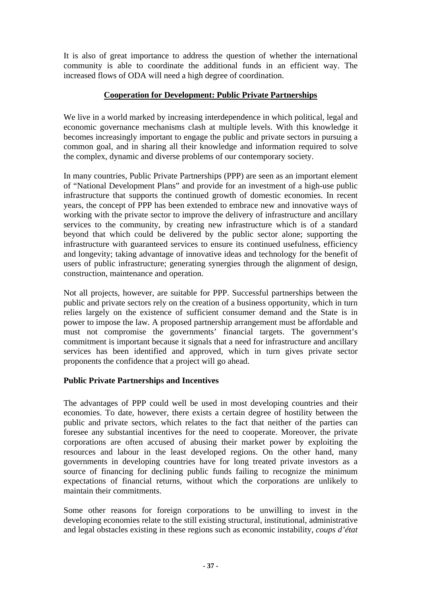It is also of great importance to address the question of whether the international community is able to coordinate the additional funds in an efficient way. The increased flows of ODA will need a high degree of coordination.

#### **Cooperation for Development: Public Private Partnerships**

We live in a world marked by increasing interdependence in which political, legal and economic governance mechanisms clash at multiple levels. With this knowledge it becomes increasingly important to engage the public and private sectors in pursuing a common goal, and in sharing all their knowledge and information required to solve the complex, dynamic and diverse problems of our contemporary society.

In many countries, Public Private Partnerships (PPP) are seen as an important element of "National Development Plans" and provide for an investment of a high-use public infrastructure that supports the continued growth of domestic economies. In recent years, the concept of PPP has been extended to embrace new and innovative ways of working with the private sector to improve the delivery of infrastructure and ancillary services to the community, by creating new infrastructure which is of a standard beyond that which could be delivered by the public sector alone; supporting the infrastructure with guaranteed services to ensure its continued usefulness, efficiency and longevity; taking advantage of innovative ideas and technology for the benefit of users of public infrastructure; generating synergies through the alignment of design, construction, maintenance and operation.

Not all projects, however, are suitable for PPP. Successful partnerships between the public and private sectors rely on the creation of a business opportunity, which in turn relies largely on the existence of sufficient consumer demand and the State is in power to impose the law. A proposed partnership arrangement must be affordable and must not compromise the governments' financial targets. The government's commitment is important because it signals that a need for infrastructure and ancillary services has been identified and approved, which in turn gives private sector proponents the confidence that a project will go ahead.

#### **Public Private Partnerships and Incentives**

The advantages of PPP could well be used in most developing countries and their economies. To date, however, there exists a certain degree of hostility between the public and private sectors, which relates to the fact that neither of the parties can foresee any substantial incentives for the need to cooperate. Moreover, the private corporations are often accused of abusing their market power by exploiting the resources and labour in the least developed regions. On the other hand, many governments in developing countries have for long treated private investors as a source of financing for declining public funds failing to recognize the minimum expectations of financial returns, without which the corporations are unlikely to maintain their commitments.

Some other reasons for foreign corporations to be unwilling to invest in the developing economies relate to the still existing structural, institutional, administrative and legal obstacles existing in these regions such as economic instability, *coups d'état*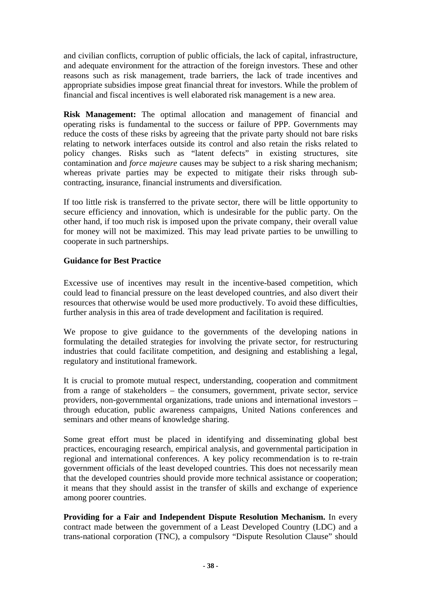and civilian conflicts, corruption of public officials, the lack of capital, infrastructure, and adequate environment for the attraction of the foreign investors. These and other reasons such as risk management, trade barriers, the lack of trade incentives and appropriate subsidies impose great financial threat for investors. While the problem of financial and fiscal incentives is well elaborated risk management is a new area.

**Risk Management:** The optimal allocation and management of financial and operating risks is fundamental to the success or failure of PPP. Governments may reduce the costs of these risks by agreeing that the private party should not bare risks relating to network interfaces outside its control and also retain the risks related to policy changes. Risks such as "latent defects" in existing structures, site contamination and *force majeure* causes may be subject to a risk sharing mechanism; whereas private parties may be expected to mitigate their risks through subcontracting, insurance, financial instruments and diversification.

If too little risk is transferred to the private sector, there will be little opportunity to secure efficiency and innovation, which is undesirable for the public party. On the other hand, if too much risk is imposed upon the private company, their overall value for money will not be maximized. This may lead private parties to be unwilling to cooperate in such partnerships.

#### **Guidance for Best Practice**

Excessive use of incentives may result in the incentive-based competition, which could lead to financial pressure on the least developed countries, and also divert their resources that otherwise would be used more productively. To avoid these difficulties, further analysis in this area of trade development and facilitation is required.

We propose to give guidance to the governments of the developing nations in formulating the detailed strategies for involving the private sector, for restructuring industries that could facilitate competition, and designing and establishing a legal, regulatory and institutional framework.

It is crucial to promote mutual respect, understanding, cooperation and commitment from a range of stakeholders – the consumers, government, private sector, service providers, non-governmental organizations, trade unions and international investors – through education, public awareness campaigns, United Nations conferences and seminars and other means of knowledge sharing.

Some great effort must be placed in identifying and disseminating global best practices, encouraging research, empirical analysis, and governmental participation in regional and international conferences. A key policy recommendation is to re-train government officials of the least developed countries. This does not necessarily mean that the developed countries should provide more technical assistance or cooperation; it means that they should assist in the transfer of skills and exchange of experience among poorer countries.

**Providing for a Fair and Independent Dispute Resolution Mechanism.** In every contract made between the government of a Least Developed Country (LDC) and a trans-national corporation (TNC), a compulsory "Dispute Resolution Clause" should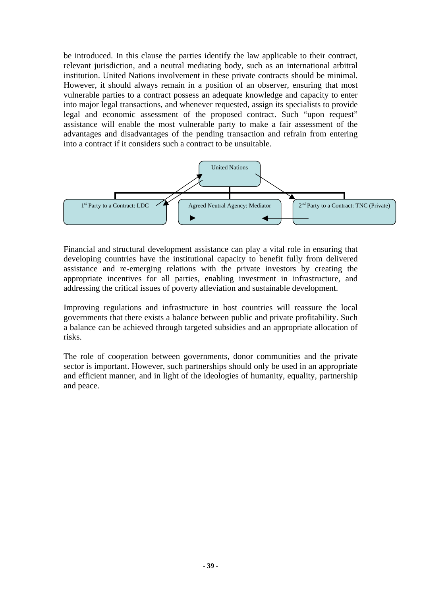be introduced. In this clause the parties identify the law applicable to their contract, relevant jurisdiction, and a neutral mediating body, such as an international arbitral institution. United Nations involvement in these private contracts should be minimal. However, it should always remain in a position of an observer, ensuring that most vulnerable parties to a contract possess an adequate knowledge and capacity to enter into major legal transactions, and whenever requested, assign its specialists to provide legal and economic assessment of the proposed contract. Such "upon request" assistance will enable the most vulnerable party to make a fair assessment of the advantages and disadvantages of the pending transaction and refrain from entering into a contract if it considers such a contract to be unsuitable.



Financial and structural development assistance can play a vital role in ensuring that developing countries have the institutional capacity to benefit fully from delivered assistance and re-emerging relations with the private investors by creating the appropriate incentives for all parties, enabling investment in infrastructure, and addressing the critical issues of poverty alleviation and sustainable development.

Improving regulations and infrastructure in host countries will reassure the local governments that there exists a balance between public and private profitability. Such a balance can be achieved through targeted subsidies and an appropriate allocation of risks.

The role of cooperation between governments, donor communities and the private sector is important. However, such partnerships should only be used in an appropriate and efficient manner, and in light of the ideologies of humanity, equality, partnership and peace.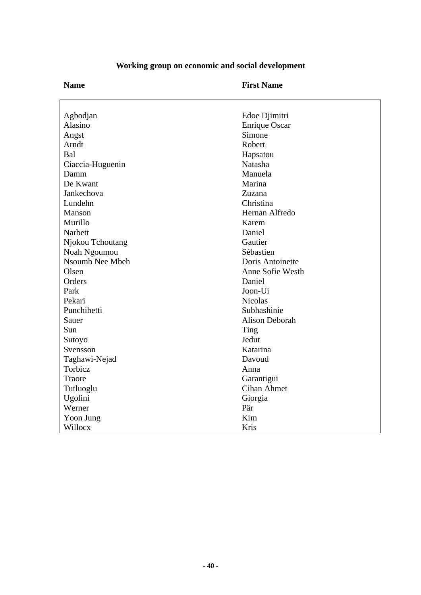| Agbodjan               | Edoe Djimitri         |
|------------------------|-----------------------|
| Alasino                | <b>Enrique Oscar</b>  |
| Angst                  | Simone                |
| Arndt                  | Robert                |
| Bal                    | Hapsatou              |
| Ciaccia-Huguenin       | Natasha               |
| Damm                   | Manuela               |
| De Kwant               | Marina                |
| Jankechova             | Zuzana                |
| Lundehn                | Christina             |
| Manson                 | Hernan Alfredo        |
| Murillo                | Karem                 |
| Narbett                | Daniel                |
| Njokou Tchoutang       | Gautier               |
| Noah Ngoumou           | Sébastien             |
| <b>Nsoumb Nee Mbeh</b> | Doris Antoinette      |
| Olsen                  | Anne Sofie Westh      |
| Orders                 | Daniel                |
| Park                   | Joon-Ui               |
| Pekari                 | <b>Nicolas</b>        |
| Punchihetti            | Subhashinie           |
| Sauer                  | <b>Alison Deborah</b> |
| Sun                    | Ting                  |
| Sutoyo                 | Jedut                 |
| Svensson               | Katarina              |
| Taghawi-Nejad          | Davoud                |
| Torbicz                | Anna                  |
| Traore                 | Garantigui            |
| Tutluoglu              | <b>Cihan Ahmet</b>    |
| Ugolini                | Giorgia               |
| Werner                 | Pär                   |
| Yoon Jung              | Kim                   |
| Willocx                | Kris                  |

# **Working group on economic and social development**

**Name First Name**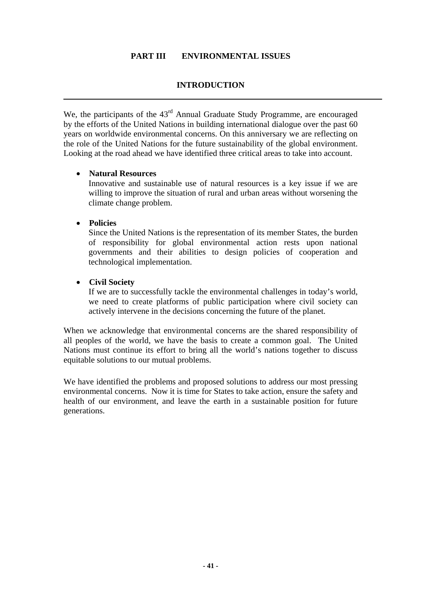#### **PART III ENVIRONMENTAL ISSUES**

#### **INTRODUCTION**

We, the participants of the 43<sup>rd</sup> Annual Graduate Study Programme, are encouraged by the efforts of the United Nations in building international dialogue over the past 60 years on worldwide environmental concerns. On this anniversary we are reflecting on the role of the United Nations for the future sustainability of the global environment. Looking at the road ahead we have identified three critical areas to take into account.

#### • **Natural Resources**

Innovative and sustainable use of natural resources is a key issue if we are willing to improve the situation of rural and urban areas without worsening the climate change problem.

#### • **Policies**

Since the United Nations is the representation of its member States, the burden of responsibility for global environmental action rests upon national governments and their abilities to design policies of cooperation and technological implementation.

#### • **Civil Society**

If we are to successfully tackle the environmental challenges in today's world, we need to create platforms of public participation where civil society can actively intervene in the decisions concerning the future of the planet.

When we acknowledge that environmental concerns are the shared responsibility of all peoples of the world, we have the basis to create a common goal. The United Nations must continue its effort to bring all the world's nations together to discuss equitable solutions to our mutual problems.

We have identified the problems and proposed solutions to address our most pressing environmental concerns. Now it is time for States to take action, ensure the safety and health of our environment, and leave the earth in a sustainable position for future generations.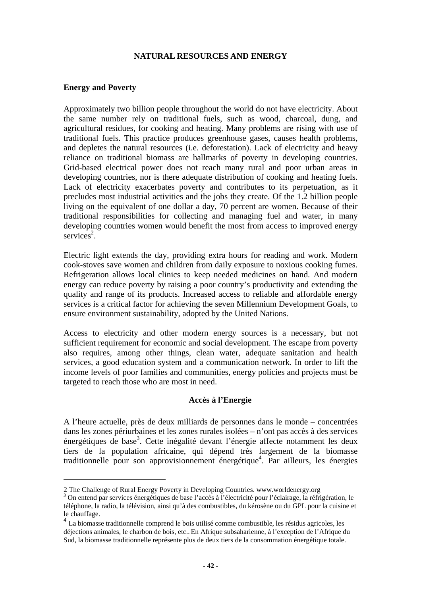#### <span id="page-41-2"></span>**Energy and Poverty**

 $\overline{a}$ 

Approximately two billion people throughout the world do not have electricity. About the same number rely on traditional fuels, such as wood, charcoal, dung, and agricultural residues, for cooking and heating. Many problems are rising with use of traditional fuels. This practice produces greenhouse gases, causes health problems, and depletes the natural resources (i.e. deforestation). Lack of electricity and heavy reliance on traditional biomass are hallmarks of poverty in developing countries. Grid-based electrical power does not reach many rural and poor urban areas in developing countries, nor is there adequate distribution of cooking and heating fuels. Lack of electricity exacerbates poverty and contributes to its perpetuation, as it precludes most industrial activities and the jobs they create. Of the 1.2 billion people living on the equivalent of one dollar a day, 70 percent are women. Because of their traditional responsibilities for collecting and managing fuel and water, in many developing countries women would benefit the most from access to improved energy services<sup>[2](#page-41-0)</sup>.

Electric light extends the day, providing extra hours for reading and work. Modern cook-stoves save women and children from daily exposure to noxious cooking fumes. Refrigeration allows local clinics to keep needed medicines on hand. And modern energy can reduce poverty by raising a poor country's productivity and extending the quality and range of its products. Increased access to reliable and affordable energy services is a critical factor for achieving the seven Millennium Development Goals, to ensure environment sustainability, adopted by the United Nations.

Access to electricity and other modern energy sources is a necessary, but not sufficient requirement for economic and social development. The escape from poverty also requires, among other things, clean water, adequate sanitation and health services, a good education system and a communication network. In order to lift the income levels of poor families and communities, energy policies and projects must be targeted to reach those who are most in need.

#### **Accès à l'Energie**

A l'heure actuelle, près de deux milliards de personnes dans le monde – concentrées dans les zones périurbaines et les zones rurales isolées – n'ont pas accès à des services énergétiques de base<sup>[3](#page-41-1)</sup>. Cette inégalité devant l'énergie affecte notamment les deux tiers de la population africaine, qui dépend très largement de la biomasse traditionnelle pour son approvisionnement énergétique<sup>[4](#page-41-2)</sup>. Par ailleurs, les énergies

<span id="page-41-0"></span><sup>2</sup> The Challenge of Rural Energy Poverty in Developing Countries. www.worldenergy.org 3

<span id="page-41-1"></span>On entend par services énergétiques de base l'accès à l'électricité pour l'éclairage, la réfrigération, le téléphone, la radio, la télévision, ainsi qu'à des combustibles, du kérosène ou du GPL pour la cuisine et

le chauffage.<br><sup>4</sup> La biomasse traditionnelle comprend le bois utilisé comme combustible, les résidus agricoles, les déjections animales, le charbon de bois, etc.. En Afrique subsaharienne, à l'exception de l'Afrique du Sud, la biomasse traditionnelle représente plus de deux tiers de la consommation énergétique totale.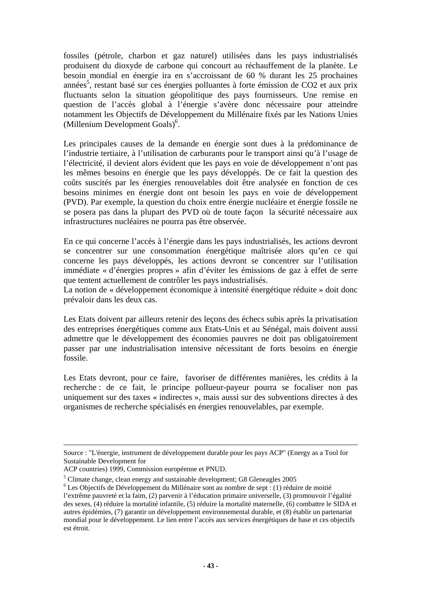fossiles (pétrole, charbon et gaz naturel) utilisées dans les pays industrialisés produisent du dioxyde de carbone qui concourt au réchauffement de la planète. Le besoin mondial en énergie ira en s'accroissant de 60 % durant les 25 prochaines années<sup>[5](#page-42-0)</sup>, restant basé sur ces énergies polluantes à forte émission de CO2 et aux prix fluctuants selon la situation géopolitique des pays fournisseurs. Une remise en question de l'accès global à l'énergie s'avère donc nécessaire pour atteindre notamment les Objectifs de Développement du Millénaire fixés par les Nations Unies (Millenium Development Goals)<sup>[6](#page-42-1)</sup>.

Les principales causes de la demande en énergie sont dues à la prédominance de l'industrie tertiaire, à l'utilisation de carburants pour le transport ainsi qu'à l'usage de l'électricité, il devient alors évident que les pays en voie de développement n'ont pas les mêmes besoins en énergie que les pays développés. De ce fait la question des coûts suscités par les énergies renouvelables doit être analysée en fonction de ces besoins minimes en énergie dont ont besoin les pays en voie de développement (PVD). Par exemple, la question du choix entre énergie nucléaire et énergie fossile ne se posera pas dans la plupart des PVD où de toute façon la sécurité nécessaire aux infrastructures nucléaires ne pourra pas être observée.

En ce qui concerne l'accès à l'énergie dans les pays industrialisés, les actions devront se concentrer sur une consommation énergétique maîtrisée alors qu'en ce qui concerne les pays développés, les actions devront se concentrer sur l'utilisation immédiate « d'énergies propres » afin d'éviter les émissions de gaz à effet de serre que tentent actuellement de contrôler les pays industrialisés.

La notion de « développement économique à intensité énergétique réduite » doit donc prévaloir dans les deux cas.

Les Etats doivent par ailleurs retenir des leçons des échecs subis après la privatisation des entreprises énergétiques comme aux Etats-Unis et au Sénégal, mais doivent aussi admettre que le développement des économies pauvres ne doit pas obligatoirement passer par une industrialisation intensive nécessitant de forts besoins en énergie fossile.

Les Etats devront, pour ce faire, favoriser de différentes manières, les crédits à la recherche : de ce fait, le principe pollueur-payeur pourra se focaliser non pas uniquement sur des taxes « indirectes », mais aussi sur des subventions directes à des organismes de recherche spécialisés en énergies renouvelables, par exemple.

Source : "L'énergie, instrument de développement durable pour les pays ACP" (Energy as a Tool for Sustainable Development for

ACP countries) 1999, Commission européenne et PNUD.

<span id="page-42-0"></span><sup>&</sup>lt;sup>5</sup> Climate change, clean energy and sustainable development; G8 Gleneagles 2005  $^{6}$  Lee Objectifs de Dévelopment du Milléneire sont au nombre de sont  $(1)$  réduc

<span id="page-42-1"></span><sup>&</sup>lt;sup>6</sup> Les Objectifs de Développement du Millénaire sont au nombre de sept : (1) réduire de moitié l'extrême pauvreté et la faim, (2) parvenir à l'éducation primaire universelle, (3) promouvoir l'égalité des sexes, (4) réduire la mortalité infantile, (5) réduire la mortalité maternelle, (6) combattre le SIDA et autres épidémies, (7) garantir un développement environnemental durable, et (8) établir un partenariat mondial pour le développement. Le lien entre l'accès aux services énergétiques de base et ces objectifs est étroit.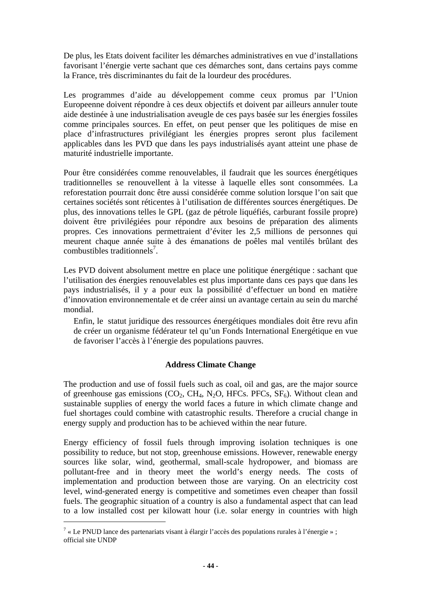De plus, les Etats doivent faciliter les démarches administratives en vue d'installations favorisant l'énergie verte sachant que ces démarches sont, dans certains pays comme la France, très discriminantes du fait de la lourdeur des procédures.

Les programmes d'aide au développement comme ceux promus par l'Union Europeenne doivent répondre à ces deux objectifs et doivent par ailleurs annuler toute aide destinée à une industrialisation aveugle de ces pays basée sur les énergies fossiles comme principales sources. En effet, on peut penser que les politiques de mise en place d'infrastructures privilégiant les énergies propres seront plus facilement applicables dans les PVD que dans les pays industrialisés ayant atteint une phase de maturité industrielle importante.

Pour être considérées comme renouvelables, il faudrait que les sources énergétiques traditionnelles se renouvellent à la vitesse à laquelle elles sont consommées. La reforestation pourrait donc être aussi considérée comme solution lorsque l'on sait que certaines sociétés sont réticentes à l'utilisation de différentes sources énergétiques. De plus, des innovations telles le GPL (gaz de pétrole liquéfiés, carburant fossile propre) doivent être privilégiées pour répondre aux besoins de préparation des aliments propres. Ces innovations permettraient d'éviter les 2,5 millions de personnes qui meurent chaque année suite à des émanations de poêles mal ventilés brûlant des  $combustibles$  traditionnels<sup>[7](#page-43-0)</sup>.

Les PVD doivent absolument mettre en place une politique énergétique : sachant que l'utilisation des énergies renouvelables est plus importante dans ces pays que dans les pays industrialisés, il y a pour eux la possibilité d'effectuer un bond en matière d'innovation environnementale et de créer ainsi un avantage certain au sein du marché mondial.

Enfin, le statut juridique des ressources énergétiques mondiales doit être revu afin de créer un organisme fédérateur tel qu'un Fonds International Energétique en vue de favoriser l'accès à l'énergie des populations pauvres.

#### **Address Climate Change**

The production and use of fossil fuels such as coal, oil and gas, are the major source of greenhouse gas emissions  $(CO_2, CH_4, N_2O, HFCs, PFCs, SF_6)$ . Without clean and sustainable supplies of energy the world faces a future in which climate change and fuel shortages could combine with catastrophic results. Therefore a crucial change in energy supply and production has to be achieved within the near future.

Energy efficiency of fossil fuels through improving isolation techniques is one possibility to reduce, but not stop, greenhouse emissions. However, renewable energy sources like solar, wind, geothermal, small-scale hydropower, and biomass are pollutant-free and in theory meet the world's energy needs. The costs of implementation and production between those are varying. On an electricity cost level, wind-generated energy is competitive and sometimes even cheaper than fossil fuels. The geographic situation of a country is also a fundamental aspect that can lead to a low installed cost per kilowatt hour (i.e. solar energy in countries with high

 $\overline{a}$ 

<span id="page-43-0"></span><sup>&</sup>lt;sup>7</sup> « Le PNUD lance des partenariats visant à élargir l'accès des populations rurales à l'énergie »; official site UNDP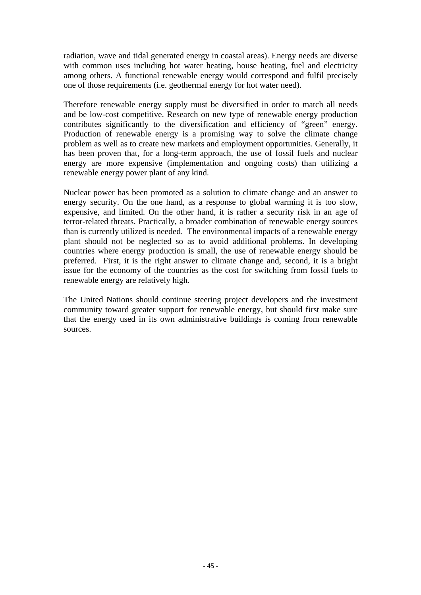radiation, wave and tidal generated energy in coastal areas). Energy needs are diverse with common uses including hot water heating, house heating, fuel and electricity among others. A functional renewable energy would correspond and fulfil precisely one of those requirements (i.e. geothermal energy for hot water need).

Therefore renewable energy supply must be diversified in order to match all needs and be low-cost competitive. Research on new type of renewable energy production contributes significantly to the diversification and efficiency of "green" energy. Production of renewable energy is a promising way to solve the climate change problem as well as to create new markets and employment opportunities. Generally, it has been proven that, for a long-term approach, the use of fossil fuels and nuclear energy are more expensive (implementation and ongoing costs) than utilizing a renewable energy power plant of any kind.

Nuclear power has been promoted as a solution to climate change and an answer to energy security. On the one hand, as a response to global warming it is too slow, expensive, and limited. On the other hand, it is rather a security risk in an age of terror-related threats. Practically, a broader combination of renewable energy sources than is currently utilized is needed. The environmental impacts of a renewable energy plant should not be neglected so as to avoid additional problems. In developing countries where energy production is small, the use of renewable energy should be preferred. First, it is the right answer to climate change and, second, it is a bright issue for the economy of the countries as the cost for switching from fossil fuels to renewable energy are relatively high.

The United Nations should continue steering project developers and the investment community toward greater support for renewable energy, but should first make sure that the energy used in its own administrative buildings is coming from renewable sources.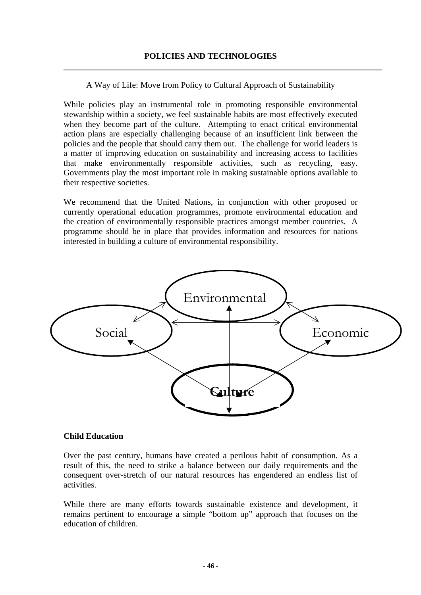A Way of Life: Move from Policy to Cultural Approach of Sustainability

While policies play an instrumental role in promoting responsible environmental stewardship within a society, we feel sustainable habits are most effectively executed when they become part of the culture. Attempting to enact critical environmental action plans are especially challenging because of an insufficient link between the policies and the people that should carry them out. The challenge for world leaders is a matter of improving education on sustainability and increasing access to facilities that make environmentally responsible activities, such as recycling, easy. Governments play the most important role in making sustainable options available to their respective societies.

We recommend that the United Nations, in conjunction with other proposed or currently operational education programmes, promote environmental education and the creation of environmentally responsible practices amongst member countries. A programme should be in place that provides information and resources for nations interested in building a culture of environmental responsibility.



#### **Child Education**

Over the past century, humans have created a perilous habit of consumption. As a result of this, the need to strike a balance between our daily requirements and the consequent over-stretch of our natural resources has engendered an endless list of activities.

While there are many efforts towards sustainable existence and development, it remains pertinent to encourage a simple "bottom up" approach that focuses on the education of children.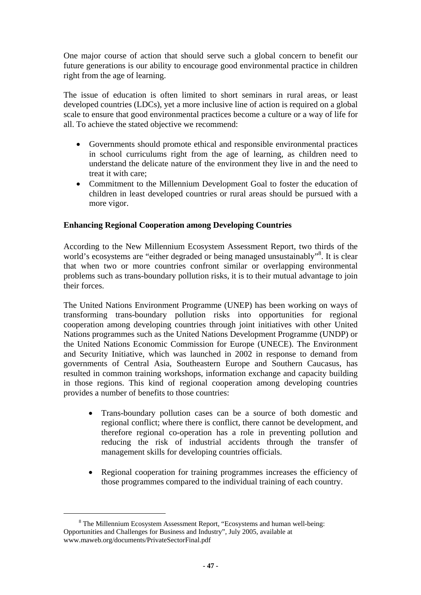One major course of action that should serve such a global concern to benefit our future generations is our ability to encourage good environmental practice in children right from the age of learning.

The issue of education is often limited to short seminars in rural areas, or least developed countries (LDCs), yet a more inclusive line of action is required on a global scale to ensure that good environmental practices become a culture or a way of life for all. To achieve the stated objective we recommend:

- Governments should promote ethical and responsible environmental practices in school curriculums right from the age of learning, as children need to understand the delicate nature of the environment they live in and the need to treat it with care;
- Commitment to the Millennium Development Goal to foster the education of children in least developed countries or rural areas should be pursued with a more vigor.

#### **Enhancing Regional Cooperation among Developing Countries**

According to the New Millennium Ecosystem Assessment Report, two thirds of the world's ecosystems are "either degraded or being managed unsustainably"<sup>[8](#page-46-0)</sup>. It is clear that when two or more countries confront similar or overlapping environmental problems such as trans-boundary pollution risks, it is to their mutual advantage to join their forces.

The United Nations Environment Programme (UNEP) has been working on ways of transforming trans-boundary pollution risks into opportunities for regional cooperation among developing countries through joint initiatives with other United Nations programmes such as the United Nations Development Programme (UNDP) or the United Nations Economic Commission for Europe (UNECE). The Environment and Security Initiative, which was launched in 2002 in response to demand from governments of Central Asia, Southeastern Europe and Southern Caucasus, has resulted in common training workshops, information exchange and capacity building in those regions. This kind of regional cooperation among developing countries provides a number of benefits to those countries:

- Trans-boundary pollution cases can be a source of both domestic and regional conflict; where there is conflict, there cannot be development, and therefore regional co-operation has a role in preventing pollution and reducing the risk of industrial accidents through the transfer of management skills for developing countries officials.
- Regional cooperation for training programmes increases the efficiency of those programmes compared to the individual training of each country.

<span id="page-46-0"></span> <sup>8</sup> The Millennium Ecosystem Assessment Report, "Ecosystems and human well-being: Opportunities and Challenges for Business and Industry", July 2005, available at www.maweb.org/documents/PrivateSectorFinal.pdf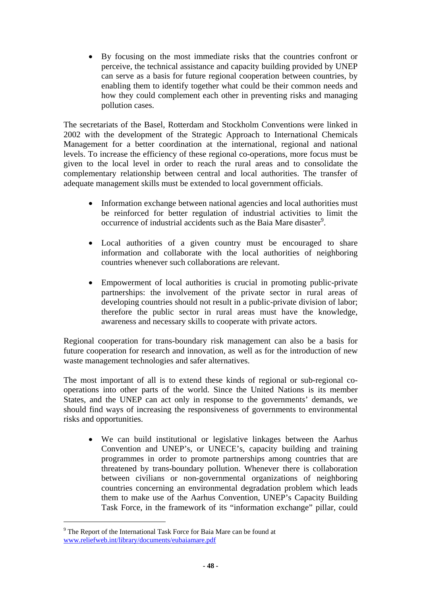• By focusing on the most immediate risks that the countries confront or perceive, the technical assistance and capacity building provided by UNEP can serve as a basis for future regional cooperation between countries, by enabling them to identify together what could be their common needs and how they could complement each other in preventing risks and managing pollution cases.

The secretariats of the Basel, Rotterdam and Stockholm Conventions were linked in 2002 with the development of the Strategic Approach to International Chemicals Management for a better coordination at the international, regional and national levels. To increase the efficiency of these regional co-operations, more focus must be given to the local level in order to reach the rural areas and to consolidate the complementary relationship between central and local authorities. The transfer of adequate management skills must be extended to local government officials.

- Information exchange between national agencies and local authorities must be reinforced for better regulation of industrial activities to limit the occurrence of industrial accidents such as the Baia Mare disaster<sup>[9](#page-47-0)</sup>.
- Local authorities of a given country must be encouraged to share information and collaborate with the local authorities of neighboring countries whenever such collaborations are relevant.
- Empowerment of local authorities is crucial in promoting public-private partnerships: the involvement of the private sector in rural areas of developing countries should not result in a public-private division of labor; therefore the public sector in rural areas must have the knowledge, awareness and necessary skills to cooperate with private actors.

Regional cooperation for trans-boundary risk management can also be a basis for future cooperation for research and innovation, as well as for the introduction of new waste management technologies and safer alternatives.

The most important of all is to extend these kinds of regional or sub-regional cooperations into other parts of the world. Since the United Nations is its member States, and the UNEP can act only in response to the governments' demands, we should find ways of increasing the responsiveness of governments to environmental risks and opportunities.

• We can build institutional or legislative linkages between the Aarhus Convention and UNEP's, or UNECE's, capacity building and training programmes in order to promote partnerships among countries that are threatened by trans-boundary pollution. Whenever there is collaboration between civilians or non-governmental organizations of neighboring countries concerning an environmental degradation problem which leads them to make use of the Aarhus Convention, UNEP's Capacity Building Task Force, in the framework of its "information exchange" pillar, could

 $\overline{a}$ 

<span id="page-47-0"></span><sup>&</sup>lt;sup>9</sup> The Report of the International Task Force for Baia Mare can be found at [www.reliefweb.int/library/documents/eubaiamare.pdf](http://www.reliefweb.int/library/documents/eubaiamare.pdf)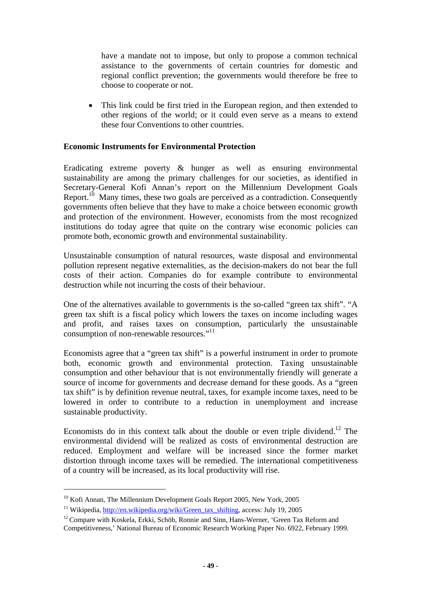have a mandate not to impose, but only to propose a common technical assistance to the governments of certain countries for domestic and regional conflict prevention; the governments would therefore be free to choose to cooperate or not.

• This link could be first tried in the European region, and then extended to other regions of the world; or it could even serve as a means to extend these four Conventions to other countries.

#### **Economic Instruments for Environmental Protection**

Eradicating extreme poverty & hunger as well as ensuring environmental sustainability are among the primary challenges for our societies, as identified in Secretary-General Kofi Annan's report on the Millennium Development Goals Report.<sup>10</sup> Many times, these two goals are perceived as a contradiction. Consequently governments often believe that they have to make a choice between economic growth and protection of the environment. However, economists from the most recognized institutions do today agree that quite on the contrary wise economic policies can promote both, economic growth and environmental sustainability.

Unsustainable consumption of natural resources, waste disposal and environmental pollution represent negative externalities, as the decision-makers do not bear the full costs of their action. Companies do for example contribute to environmental destruction while not incurring the costs of their behaviour.

One of the alternatives available to governments is the so-called "green tax shift". "A green tax shift is a [fiscal policy](http://en.wikipedia.org/wiki/Fiscal_policy) which lowers the [taxes](http://en.wikipedia.org/wiki/Tax) on [income](http://en.wikipedia.org/wiki/Income) including wages and profit, and raises taxes on [consumption](http://en.wikipedia.org/wiki/Consumption), particularly the [unsustainable](http://en.wikipedia.org/wiki/Sustainability) [consumption](http://en.wikipedia.org/wiki/Sustainability) of non-renewable resources."<sup>[11](#page-48-1)</sup>

Economists agree that a "green tax shift" is a powerful instrument in order to promote both, economic growth and environmental protection. Taxing unsustainable consumption and other behaviour that is not environmentally friendly will generate a source of income for governments and decrease demand for these goods. As a "green tax shift" is by definition revenue neutral, taxes, for example income taxes, need to be lowered in order to contribute to a reduction in unemployment and increase sustainable productivity.

Economists do in this context talk about the double or even triple dividend.<sup>12</sup> The environmental dividend will be realized as costs of environmental destruction are reduced. Employment and welfare will be increased since the former market distortion through income taxes will be remedied. The international competitiveness of a country will be increased, as its local productivity will rise.

 $\overline{a}$ 

<span id="page-48-0"></span> $10$  Kofi Annan, The Millennium Development Goals Report 2005, New York, 2005

<span id="page-48-1"></span><sup>&</sup>lt;sup>11</sup> Wikipedia, *[http://en.wikipedia.org/wiki/Green\\_tax\\_shifting](http://en.wikipedia.org/wiki/Green_tax_shifting)*, access: July 19, 2005  $^{12}$  Compare with Koskela, Erkki, Schöb, Ronnie and Sinn, Hans-Werner, 'Green Tax Reform and

<span id="page-48-2"></span>Competitiveness,' National Bureau of Economic Research Working Paper No. 6922, February 1999.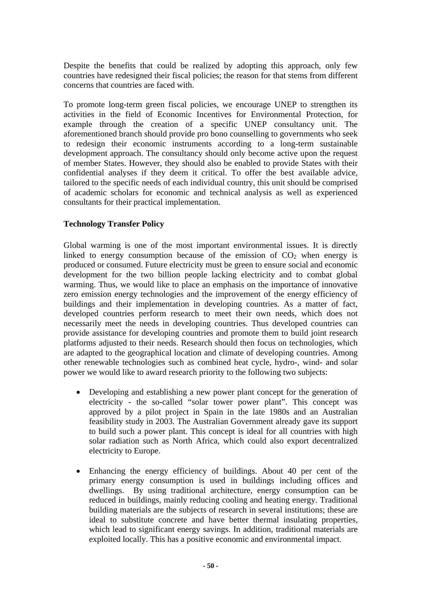Despite the benefits that could be realized by adopting this approach, only few countries have redesigned their fiscal policies; the reason for that stems from different concerns that countries are faced with.

To promote long-term green fiscal policies, we encourage UNEP to strengthen its activities in the field of Economic Incentives for Environmental Protection, for example through the creation of a specific UNEP consultancy unit. The aforementioned branch should provide pro bono counselling to governments who seek to redesign their economic instruments according to a long-term sustainable development approach. The consultancy should only become active upon the request of member States. However, they should also be enabled to provide States with their confidential analyses if they deem it critical. To offer the best available advice, tailored to the specific needs of each individual country, this unit should be comprised of academic scholars for economic and technical analysis as well as experienced consultants for their practical implementation.

#### **Technology Transfer Policy**

Global warming is one of the most important environmental issues. It is directly linked to energy consumption because of the emission of  $CO<sub>2</sub>$  when energy is produced or consumed. Future electricity must be green to ensure social and economic development for the two billion people lacking electricity and to combat global warming. Thus, we would like to place an emphasis on the importance of innovative zero emission energy technologies and the improvement of the energy efficiency of buildings and their implementation in developing countries. As a matter of fact, developed countries perform research to meet their own needs, which does not necessarily meet the needs in developing countries. Thus developed countries can provide assistance for developing countries and promote them to build joint research platforms adjusted to their needs. Research should then focus on technologies, which are adapted to the geographical location and climate of developing countries. Among other renewable technologies such as combined heat cycle, hydro-, wind- and solar power we would like to award research priority to the following two subjects:

- Developing and establishing a new power plant concept for the generation of electricity - the so-called "solar tower power plant". This concept was approved by a pilot project in Spain in the late 1980s and an Australian feasibility study in 2003. The Australian Government already gave its support to build such a power plant. This concept is ideal for all countries with high solar radiation such as North Africa, which could also export decentralized electricity to Europe.
- Enhancing the energy efficiency of buildings. About 40 per cent of the primary energy consumption is used in buildings including offices and dwellings. By using traditional architecture, energy consumption can be reduced in buildings, mainly reducing cooling and heating energy. Traditional building materials are the subjects of research in several institutions; these are ideal to substitute concrete and have better thermal insulating properties, which lead to significant energy savings. In addition, traditional materials are exploited locally. This has a positive economic and environmental impact.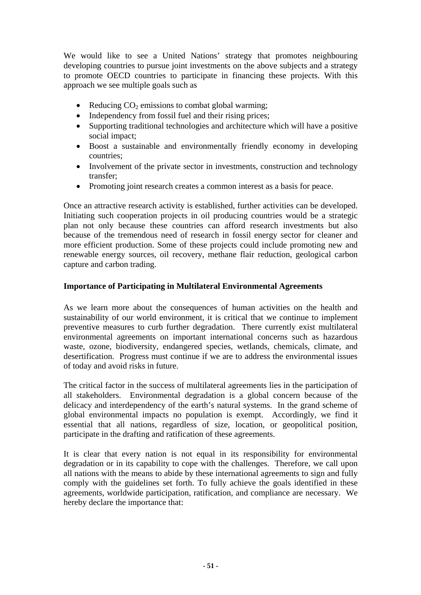We would like to see a United Nations' strategy that promotes neighbouring developing countries to pursue joint investments on the above subjects and a strategy to promote OECD countries to participate in financing these projects. With this approach we see multiple goals such as

- Reducing  $CO<sub>2</sub>$  emissions to combat global warming;
- Independency from fossil fuel and their rising prices;
- Supporting traditional technologies and architecture which will have a positive social impact;
- Boost a sustainable and environmentally friendly economy in developing countries;
- Involvement of the private sector in investments, construction and technology transfer;
- Promoting joint research creates a common interest as a basis for peace.

Once an attractive research activity is established, further activities can be developed. Initiating such cooperation projects in oil producing countries would be a strategic plan not only because these countries can afford research investments but also because of the tremendous need of research in fossil energy sector for cleaner and more efficient production. Some of these projects could include promoting new and renewable energy sources, oil recovery, methane flair reduction, geological carbon capture and carbon trading.

#### **Importance of Participating in Multilateral Environmental Agreements**

As we learn more about the consequences of human activities on the health and sustainability of our world environment, it is critical that we continue to implement preventive measures to curb further degradation. There currently exist multilateral environmental agreements on important international concerns such as hazardous waste, ozone, biodiversity, endangered species, wetlands, chemicals, climate, and desertification. Progress must continue if we are to address the environmental issues of today and avoid risks in future.

The critical factor in the success of multilateral agreements lies in the participation of all stakeholders. Environmental degradation is a global concern because of the delicacy and interdependency of the earth's natural systems. In the grand scheme of global environmental impacts no population is exempt. Accordingly, we find it essential that all nations, regardless of size, location, or geopolitical position, participate in the drafting and ratification of these agreements.

It is clear that every nation is not equal in its responsibility for environmental degradation or in its capability to cope with the challenges. Therefore, we call upon all nations with the means to abide by these international agreements to sign and fully comply with the guidelines set forth. To fully achieve the goals identified in these agreements, worldwide participation, ratification, and compliance are necessary. We hereby declare the importance that: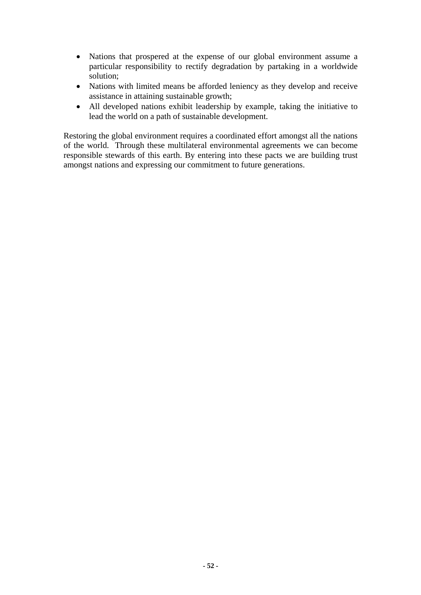- Nations that prospered at the expense of our global environment assume a particular responsibility to rectify degradation by partaking in a worldwide solution;
- Nations with limited means be afforded leniency as they develop and receive assistance in attaining sustainable growth;
- All developed nations exhibit leadership by example, taking the initiative to lead the world on a path of sustainable development.

Restoring the global environment requires a coordinated effort amongst all the nations of the world. Through these multilateral environmental agreements we can become responsible stewards of this earth. By entering into these pacts we are building trust amongst nations and expressing our commitment to future generations.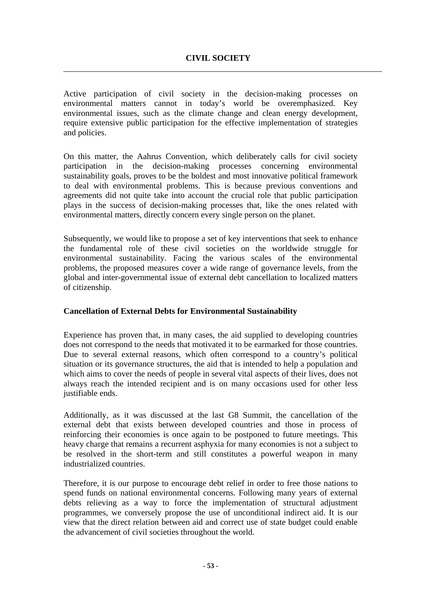Active participation of civil society in the decision-making processes on environmental matters cannot in today's world be overemphasized. Key environmental issues, such as the climate change and clean energy development, require extensive public participation for the effective implementation of strategies and policies.

On this matter, the Aahrus Convention, which deliberately calls for civil society participation in the decision-making processes concerning environmental sustainability goals, proves to be the boldest and most innovative political framework to deal with environmental problems. This is because previous conventions and agreements did not quite take into account the crucial role that public participation plays in the success of decision-making processes that, like the ones related with environmental matters, directly concern every single person on the planet.

Subsequently, we would like to propose a set of key interventions that seek to enhance the fundamental role of these civil societies on the worldwide struggle for environmental sustainability. Facing the various scales of the environmental problems, the proposed measures cover a wide range of governance levels, from the global and inter-governmental issue of external debt cancellation to localized matters of citizenship.

#### **Cancellation of External Debts for Environmental Sustainability**

Experience has proven that, in many cases, the aid supplied to developing countries does not correspond to the needs that motivated it to be earmarked for those countries. Due to several external reasons, which often correspond to a country's political situation or its governance structures, the aid that is intended to help a population and which aims to cover the needs of people in several vital aspects of their lives, does not always reach the intended recipient and is on many occasions used for other less justifiable ends.

Additionally, as it was discussed at the last G8 Summit, the cancellation of the external debt that exists between developed countries and those in process of reinforcing their economies is once again to be postponed to future meetings. This heavy charge that remains a recurrent asphyxia for many economies is not a subject to be resolved in the short-term and still constitutes a powerful weapon in many industrialized countries.

Therefore, it is our purpose to encourage debt relief in order to free those nations to spend funds on national environmental concerns. Following many years of external debts relieving as a way to force the implementation of structural adjustment programmes, we conversely propose the use of unconditional indirect aid. It is our view that the direct relation between aid and correct use of state budget could enable the advancement of civil societies throughout the world.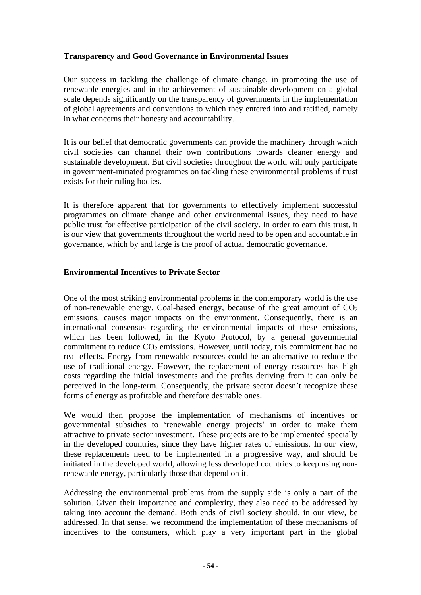#### **Transparency and Good Governance in Environmental Issues**

Our success in tackling the challenge of climate change, in promoting the use of renewable energies and in the achievement of sustainable development on a global scale depends significantly on the transparency of governments in the implementation of global agreements and conventions to which they entered into and ratified, namely in what concerns their honesty and accountability.

It is our belief that democratic governments can provide the machinery through which civil societies can channel their own contributions towards cleaner energy and sustainable development. But civil societies throughout the world will only participate in government-initiated programmes on tackling these environmental problems if trust exists for their ruling bodies.

It is therefore apparent that for governments to effectively implement successful programmes on climate change and other environmental issues, they need to have public trust for effective participation of the civil society. In order to earn this trust, it is our view that governments throughout the world need to be open and accountable in governance, which by and large is the proof of actual democratic governance.

#### **Environmental Incentives to Private Sector**

One of the most striking environmental problems in the contemporary world is the use of non-renewable energy. Coal-based energy, because of the great amount of  $CO<sub>2</sub>$ emissions, causes major impacts on the environment. Consequently, there is an international consensus regarding the environmental impacts of these emissions, which has been followed, in the Kyoto Protocol, by a general governmental commitment to reduce  $CO<sub>2</sub>$  emissions. However, until today, this commitment had no real effects. Energy from renewable resources could be an alternative to reduce the use of traditional energy. However, the replacement of energy resources has high costs regarding the initial investments and the profits deriving from it can only be perceived in the long-term. Consequently, the private sector doesn't recognize these forms of energy as profitable and therefore desirable ones.

We would then propose the implementation of mechanisms of incentives or governmental subsidies to 'renewable energy projects' in order to make them attractive to private sector investment. These projects are to be implemented specially in the developed countries, since they have higher rates of emissions. In our view, these replacements need to be implemented in a progressive way, and should be initiated in the developed world, allowing less developed countries to keep using nonrenewable energy, particularly those that depend on it.

Addressing the environmental problems from the supply side is only a part of the solution. Given their importance and complexity, they also need to be addressed by taking into account the demand. Both ends of civil society should, in our view, be addressed. In that sense, we recommend the implementation of these mechanisms of incentives to the consumers, which play a very important part in the global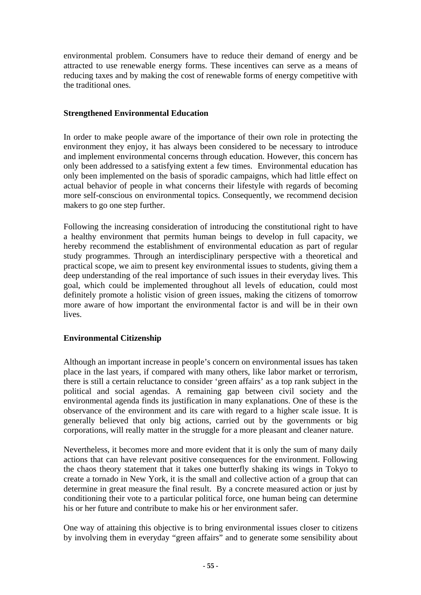environmental problem. Consumers have to reduce their demand of energy and be attracted to use renewable energy forms. These incentives can serve as a means of reducing taxes and by making the cost of renewable forms of energy competitive with the traditional ones.

#### **Strengthened Environmental Education**

In order to make people aware of the importance of their own role in protecting the environment they enjoy, it has always been considered to be necessary to introduce and implement environmental concerns through education. However, this concern has only been addressed to a satisfying extent a few times. Environmental education has only been implemented on the basis of sporadic campaigns, which had little effect on actual behavior of people in what concerns their lifestyle with regards of becoming more self-conscious on environmental topics. Consequently, we recommend decision makers to go one step further.

Following the increasing consideration of introducing the constitutional right to have a healthy environment that permits human beings to develop in full capacity, we hereby recommend the establishment of environmental education as part of regular study programmes. Through an interdisciplinary perspective with a theoretical and practical scope, we aim to present key environmental issues to students, giving them a deep understanding of the real importance of such issues in their everyday lives. This goal, which could be implemented throughout all levels of education, could most definitely promote a holistic vision of green issues, making the citizens of tomorrow more aware of how important the environmental factor is and will be in their own lives.

#### **Environmental Citizenship**

Although an important increase in people's concern on environmental issues has taken place in the last years, if compared with many others, like labor market or terrorism, there is still a certain reluctance to consider 'green affairs' as a top rank subject in the political and social agendas. A remaining gap between civil society and the environmental agenda finds its justification in many explanations. One of these is the observance of the environment and its care with regard to a higher scale issue. It is generally believed that only big actions, carried out by the governments or big corporations, will really matter in the struggle for a more pleasant and cleaner nature.

Nevertheless, it becomes more and more evident that it is only the sum of many daily actions that can have relevant positive consequences for the environment. Following the chaos theory statement that it takes one butterfly shaking its wings in Tokyo to create a tornado in New York, it is the small and collective action of a group that can determine in great measure the final result. By a concrete measured action or just by conditioning their vote to a particular political force, one human being can determine his or her future and contribute to make his or her environment safer.

One way of attaining this objective is to bring environmental issues closer to citizens by involving them in everyday "green affairs" and to generate some sensibility about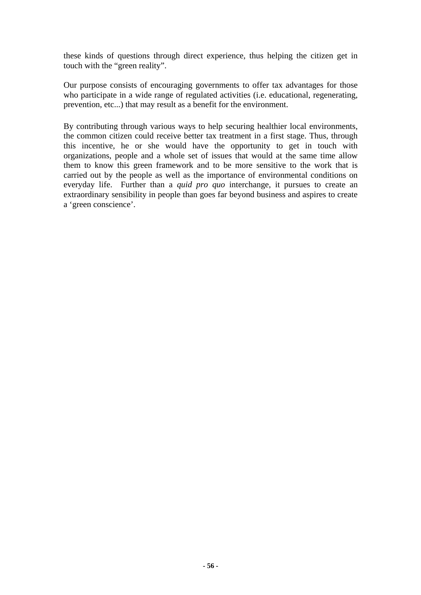these kinds of questions through direct experience, thus helping the citizen get in touch with the "green reality".

Our purpose consists of encouraging governments to offer tax advantages for those who participate in a wide range of regulated activities (i.e. educational, regenerating, prevention, etc...) that may result as a benefit for the environment.

By contributing through various ways to help securing healthier local environments, the common citizen could receive better tax treatment in a first stage. Thus, through this incentive, he or she would have the opportunity to get in touch with organizations, people and a whole set of issues that would at the same time allow them to know this green framework and to be more sensitive to the work that is carried out by the people as well as the importance of environmental conditions on everyday life. Further than a *quid pro quo* interchange, it pursues to create an extraordinary sensibility in people than goes far beyond business and aspires to create a 'green conscience'.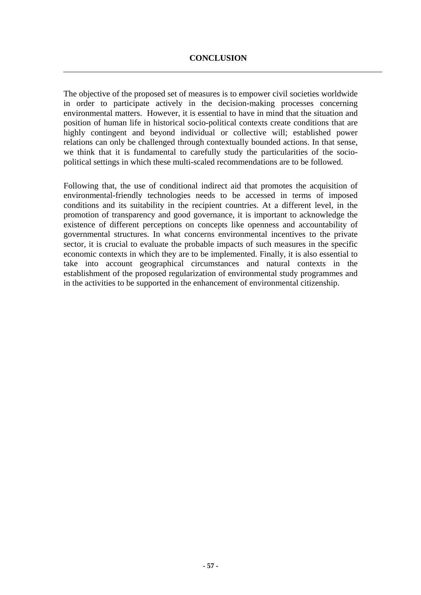The objective of the proposed set of measures is to empower civil societies worldwide in order to participate actively in the decision-making processes concerning environmental matters. However, it is essential to have in mind that the situation and position of human life in historical socio-political contexts create conditions that are highly contingent and beyond individual or collective will; established power relations can only be challenged through contextually bounded actions. In that sense, we think that it is fundamental to carefully study the particularities of the sociopolitical settings in which these multi-scaled recommendations are to be followed.

Following that, the use of conditional indirect aid that promotes the acquisition of environmental-friendly technologies needs to be accessed in terms of imposed conditions and its suitability in the recipient countries. At a different level, in the promotion of transparency and good governance, it is important to acknowledge the existence of different perceptions on concepts like openness and accountability of governmental structures. In what concerns environmental incentives to the private sector, it is crucial to evaluate the probable impacts of such measures in the specific economic contexts in which they are to be implemented. Finally, it is also essential to take into account geographical circumstances and natural contexts in the establishment of the proposed regularization of environmental study programmes and in the activities to be supported in the enhancement of environmental citizenship.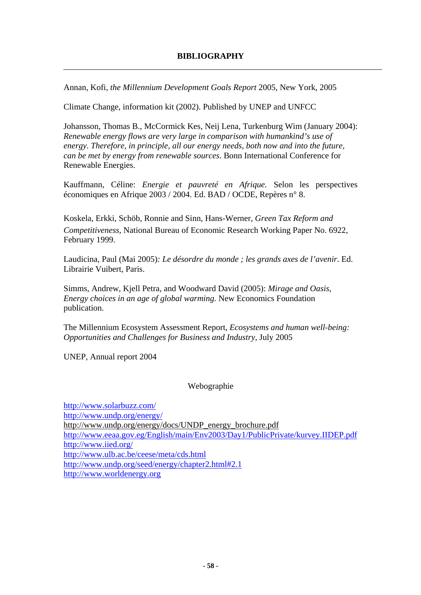Annan, Kofi, *the Millennium Development Goals Report* 2005, New York, 2005

Climate Change, information kit (2002). Published by UNEP and UNFCC

Johansson, Thomas B., McCormick Kes, Neij Lena, Turkenburg Wim (January 2004): *Renewable energy flows are very large in comparison with humankind's use of energy. Therefore, in principle, all our energy needs, both now and into the future, can be met by energy from renewable sources*. Bonn International Conference for Renewable Energies.

Kauffmann, Céline: *Energie et pauvreté en Afrique.* Selon les perspectives économiques en Afrique 2003 / 2004. Ed. BAD / OCDE, Repères n° 8.

Koskela, Erkki, Schöb, Ronnie and Sinn, Hans-Werner, *Green Tax Reform and Competitiveness*, National Bureau of Economic Research Working Paper No. 6922, February 1999.

Laudicina, Paul (Mai 2005)*: Le désordre du monde ; les grands axes de l'avenir*. Ed. Librairie Vuibert, Paris.

Simms, Andrew, Kjell Petra, and Woodward David (2005): *Mirage and Oasis, Energy choices in an age of global warming.* New Economics Foundation publication.

The Millennium Ecosystem Assessment Report, *Ecosystems and human well-being: Opportunities and Challenges for Business and Industry*, July 2005

UNEP, Annual report 2004

#### Webographie

<http://www.solarbuzz.com/> <http://www.undp.org/energy/> http://www.undp.org/energy/docs/UNDP\_energy\_brochure.pdf <http://www.eeaa.gov.eg/English/main/Env2003/Day1/PublicPrivate/kurvey.IIDEP.pdf> <http://www.iied.org/> <http://www.ulb.ac.be/ceese/meta/cds.html> http://www.undp.org/seed/energy/chapter2.html#2.1 [http://www.worldenergy.org](http://www.worldenergy.org/)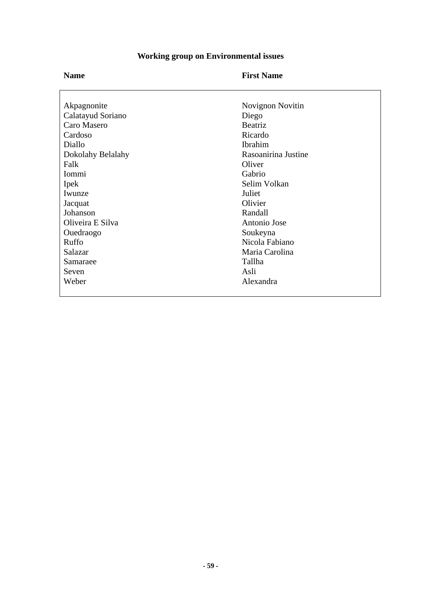# **Working group on Environmental issues**

| <b>Name</b>       | <b>First Name</b>   |
|-------------------|---------------------|
|                   |                     |
| Akpagnonite       | Novignon Novitin    |
| Calatayud Soriano | Diego               |
| Caro Masero       | Beatriz             |
| Cardoso           | Ricardo             |
| Diallo            | Ibrahim             |
| Dokolahy Belalahy | Rasoanirina Justine |
| Falk              | Oliver              |
| Iommi             | Gabrio              |
| Ipek              | Selim Volkan        |
| Iwunze            | Juliet              |
| Jacquat           | Olivier             |
| Johanson          | Randall             |
| Oliveira E Silva  | Antonio Jose        |
| Ouedraogo         | Soukeyna            |
| Ruffo             | Nicola Fabiano      |
| Salazar           | Maria Carolina      |
| Samaraee          | Tallha              |
| Seven             | Asli                |
| Weber             | Alexandra           |
|                   |                     |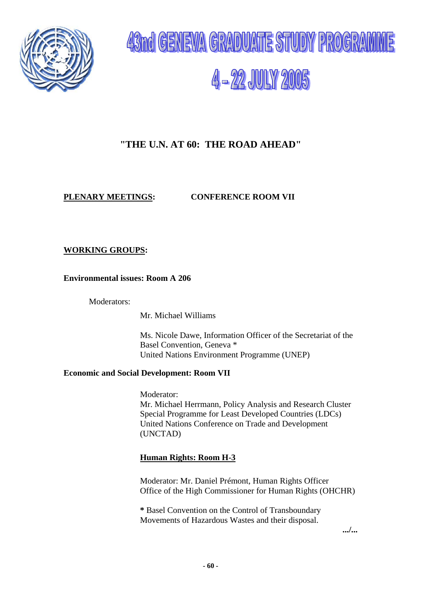



# **"THE U.N. AT 60: THE ROAD AHEAD"**

#### **PLENARY MEETINGS: CONFERENCE ROOM VII**

#### **WORKING GROUPS:**

#### **Environmental issues: Room A 206**

Moderators:

Mr. Michael Williams

Ms. Nicole Dawe, Information Officer of the Secretariat of the Basel Convention, Geneva \* United Nations Environment Programme (UNEP)

#### **Economic and Social Development: Room VII**

Moderator: Mr. Michael Herrmann, Policy Analysis and Research Cluster Special Programme for Least Developed Countries (LDCs) United Nations Conference on Trade and Development (UNCTAD)

#### **Human Rights: Room H-3**

Moderator: Mr. Daniel Prémont, Human Rights Officer Office of the High Commissioner for Human Rights (OHCHR)

**\*** Basel Convention on the Control of Transboundary Movements of Hazardous Wastes and their disposal.

**.../...**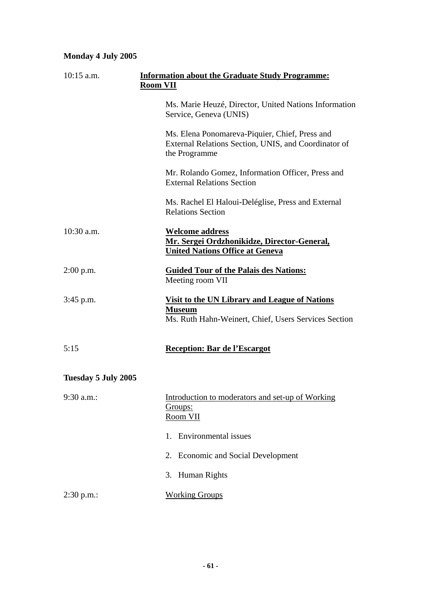# **Monday 4 July 2005**

| $10:15$ a.m.        | <b>Information about the Graduate Study Programme:</b><br><b>Room VII</b>                                                     |  |
|---------------------|-------------------------------------------------------------------------------------------------------------------------------|--|
|                     | Ms. Marie Heuzé, Director, United Nations Information<br>Service, Geneva (UNIS)                                               |  |
|                     | Ms. Elena Ponomareva-Piquier, Chief, Press and<br>External Relations Section, UNIS, and Coordinator of<br>the Programme       |  |
|                     | Mr. Rolando Gomez, Information Officer, Press and<br><b>External Relations Section</b>                                        |  |
|                     | Ms. Rachel El Haloui-Deléglise, Press and External<br><b>Relations Section</b>                                                |  |
| $10:30$ a.m.        | <u>Welcome address</u><br>Mr. Sergei Ordzhonikidze, Director-General,<br><u><b>United Nations Office at Geneva</b></u>        |  |
| $2:00$ p.m.         | <b>Guided Tour of the Palais des Nations:</b><br>Meeting room VII                                                             |  |
| $3:45$ p.m.         | <u>Visit to the UN Library and League of Nations</u><br><b>Museum</b><br>Ms. Ruth Hahn-Weinert, Chief, Users Services Section |  |
| 5:15                | <b>Reception: Bar de l'Escargot</b>                                                                                           |  |
| Tuesday 5 July 2005 |                                                                                                                               |  |
| 9:30 a.m.:          | Introduction to moderators and set-up of Working<br>Groups:<br>Room VII                                                       |  |
|                     | <b>Environmental</b> issues<br>$1_{-}$                                                                                        |  |
|                     | 2. Economic and Social Development                                                                                            |  |
|                     | 3. Human Rights                                                                                                               |  |
| 2:30 p.m.           | <b>Working Groups</b>                                                                                                         |  |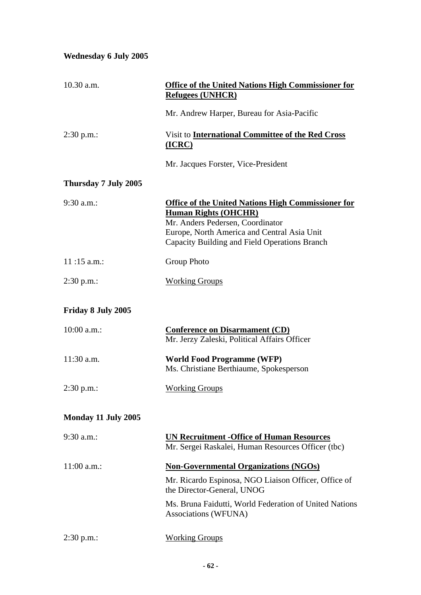# **Wednesday 6 July 2005**

| 10.30 a.m.           | <b>Office of the United Nations High Commissioner for</b><br><b>Refugees (UNHCR)</b>                                                                                                                                         |
|----------------------|------------------------------------------------------------------------------------------------------------------------------------------------------------------------------------------------------------------------------|
|                      | Mr. Andrew Harper, Bureau for Asia-Pacific                                                                                                                                                                                   |
| $2:30$ p.m.:         | Visit to <b>International Committee of the Red Cross</b><br>$(ICRC)$                                                                                                                                                         |
|                      | Mr. Jacques Forster, Vice-President                                                                                                                                                                                          |
| Thursday 7 July 2005 |                                                                                                                                                                                                                              |
| 9:30 a.m.:           | <b>Office of the United Nations High Commissioner for</b><br><b>Human Rights (OHCHR)</b><br>Mr. Anders Pedersen, Coordinator<br>Europe, North America and Central Asia Unit<br>Capacity Building and Field Operations Branch |
| $11:15$ a.m.:        | <b>Group Photo</b>                                                                                                                                                                                                           |
| $2:30$ p.m.:         | <b>Working Groups</b>                                                                                                                                                                                                        |
| Friday 8 July 2005   |                                                                                                                                                                                                                              |
| $10:00$ a.m.:        | <b>Conference on Disarmament (CD)</b><br>Mr. Jerzy Zaleski, Political Affairs Officer                                                                                                                                        |
| 11:30 a.m.           | <b>World Food Programme (WFP)</b><br>Ms. Christiane Berthiaume, Spokesperson                                                                                                                                                 |
| $2:30$ p.m.:         | <b>Working Groups</b>                                                                                                                                                                                                        |
| Monday 11 July 2005  |                                                                                                                                                                                                                              |
| $9:30$ a.m.:         | <b>UN Recruitment - Office of Human Resources</b><br>Mr. Sergei Raskalei, Human Resources Officer (tbc)                                                                                                                      |
| $11:00$ a.m.:        | <b>Non-Governmental Organizations (NGOs)</b>                                                                                                                                                                                 |
|                      | Mr. Ricardo Espinosa, NGO Liaison Officer, Office of<br>the Director-General, UNOG                                                                                                                                           |
|                      | Ms. Bruna Faidutti, World Federation of United Nations<br>Associations (WFUNA)                                                                                                                                               |
| $2:30$ p.m.:         | <b>Working Groups</b>                                                                                                                                                                                                        |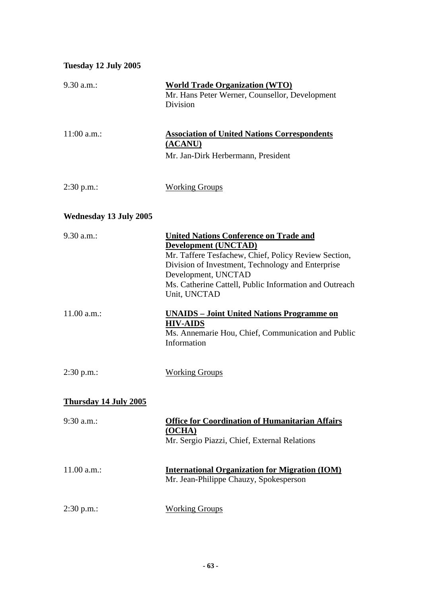#### **Tuesday 12 July 2005**

| $9.30$ a.m.:                  | <b>World Trade Organization (WTO)</b><br>Mr. Hans Peter Werner, Counsellor, Development<br>Division                                                                                                                                                                                        |
|-------------------------------|--------------------------------------------------------------------------------------------------------------------------------------------------------------------------------------------------------------------------------------------------------------------------------------------|
| $11:00$ a.m.:                 | <b>Association of United Nations Correspondents</b><br><u>(ACANU)</u><br>Mr. Jan-Dirk Herbermann, President                                                                                                                                                                                |
| 2:30 p.m.                     | <b>Working Groups</b>                                                                                                                                                                                                                                                                      |
| <b>Wednesday 13 July 2005</b> |                                                                                                                                                                                                                                                                                            |
| $9.30$ a.m.:                  | <b>United Nations Conference on Trade and</b><br><b>Development (UNCTAD)</b><br>Mr. Taffere Tesfachew, Chief, Policy Review Section,<br>Division of Investment, Technology and Enterprise<br>Development, UNCTAD<br>Ms. Catherine Cattell, Public Information and Outreach<br>Unit, UNCTAD |
| 11.00 a.m.:                   | <b>UNAIDS</b> – Joint United Nations Programme on<br><b>HIV-AIDS</b><br>Ms. Annemarie Hou, Chief, Communication and Public<br>Information                                                                                                                                                  |
| $2:30$ p.m.:                  | <b>Working Groups</b>                                                                                                                                                                                                                                                                      |
| Thursday 14 July 2005         |                                                                                                                                                                                                                                                                                            |
| $9:30$ a.m.:                  | <b>Office for Coordination of Humanitarian Affairs</b><br>(OCHA)<br>Mr. Sergio Piazzi, Chief, External Relations                                                                                                                                                                           |
| 11.00 a.m.:                   | <b>International Organization for Migration (IOM)</b><br>Mr. Jean-Philippe Chauzy, Spokesperson                                                                                                                                                                                            |
| 2:30 p.m.                     | <b>Working Groups</b>                                                                                                                                                                                                                                                                      |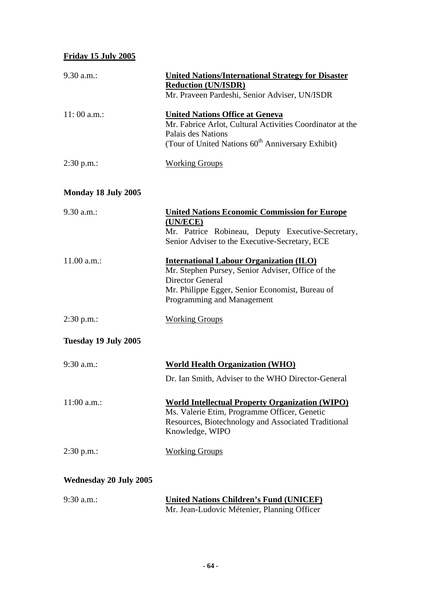# **Friday 15 July 2005**

| 9.30 a.m.:                    | <b>United Nations/International Strategy for Disaster</b><br><b>Reduction (UN/ISDR)</b><br>Mr. Praveen Pardeshi, Senior Adviser, UN/ISDR                                                                        |
|-------------------------------|-----------------------------------------------------------------------------------------------------------------------------------------------------------------------------------------------------------------|
| 11:00 a.m.:                   | <b>United Nations Office at Geneva</b><br>Mr. Fabrice Arlot, Cultural Activities Coordinator at the<br>Palais des Nations<br>(Tour of United Nations 60 <sup>th</sup> Anniversary Exhibit)                      |
| $2:30$ p.m.:                  | <b>Working Groups</b>                                                                                                                                                                                           |
| Monday 18 July 2005           |                                                                                                                                                                                                                 |
| 9.30 a.m.:                    | <b>United Nations Economic Commission for Europe</b><br>(UN/ECE)<br>Mr. Patrice Robineau, Deputy Executive-Secretary,<br>Senior Adviser to the Executive-Secretary, ECE                                         |
| 11.00 a.m.:                   | <b>International Labour Organization (ILO)</b><br>Mr. Stephen Pursey, Senior Adviser, Office of the<br><b>Director General</b><br>Mr. Philippe Egger, Senior Economist, Bureau of<br>Programming and Management |
| $2:30$ p.m.:                  | <b>Working Groups</b>                                                                                                                                                                                           |
| Tuesday 19 July 2005          |                                                                                                                                                                                                                 |
| $9:30$ a.m.:                  | <b>World Health Organization (WHO)</b><br>Dr. Ian Smith, Adviser to the WHO Director-General                                                                                                                    |
| $11:00$ a.m.:                 | <b>World Intellectual Property Organization (WIPO)</b><br>Ms. Valerie Etim, Programme Officer, Genetic<br>Resources, Biotechnology and Associated Traditional<br>Knowledge, WIPO                                |
| $2:30 p.m.$ :                 | <b>Working Groups</b>                                                                                                                                                                                           |
| <b>Wednesday 20 July 2005</b> |                                                                                                                                                                                                                 |
| 9:30 a.m.:                    | <b>United Nations Children's Fund (UNICEF)</b><br>Mr. Jean-Ludovic Métenier, Planning Officer                                                                                                                   |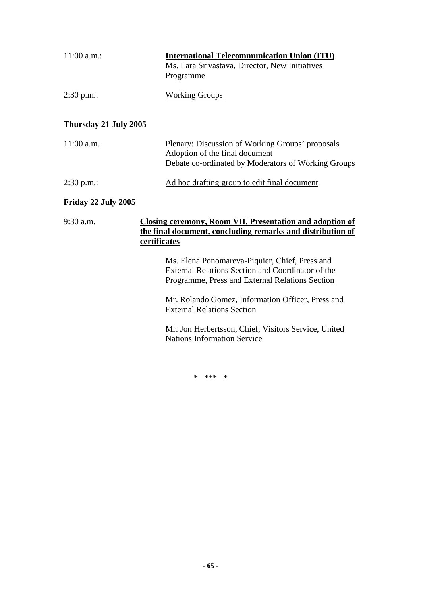| $11:00$ a.m.:         | <b>International Telecommunication Union (ITU)</b><br>Ms. Lara Srivastava, Director, New Initiatives<br>Programme |  |
|-----------------------|-------------------------------------------------------------------------------------------------------------------|--|
| $2:30$ p.m.:          | <b>Working Groups</b>                                                                                             |  |
| Thursday 21 July 2005 |                                                                                                                   |  |

| $11:00$ a.m. | Plenary: Discussion of Working Groups' proposals<br>Adoption of the final document<br>Debate co-ordinated by Moderators of Working Groups |
|--------------|-------------------------------------------------------------------------------------------------------------------------------------------|
| $2:30$ p.m.: | Ad hoc drafting group to edit final document                                                                                              |

#### **Friday 22 July 2005**

| 9:30 a.m. | Closing ceremony, Room VII, Presentation and adoption of   |  |  |
|-----------|------------------------------------------------------------|--|--|
|           | the final document, concluding remarks and distribution of |  |  |
|           | certificates                                               |  |  |
|           | Ms. Elena Ponomareva-Piquier, Chief, Press and             |  |  |

External Relations Section and Coordinator of the Programme, Press and External Relations Section

Mr. Rolando Gomez, Information Officer, Press and External Relations Section

Mr. Jon Herbertsson, Chief, Visitors Service, United Nations Information Service

\* \*\*\* \*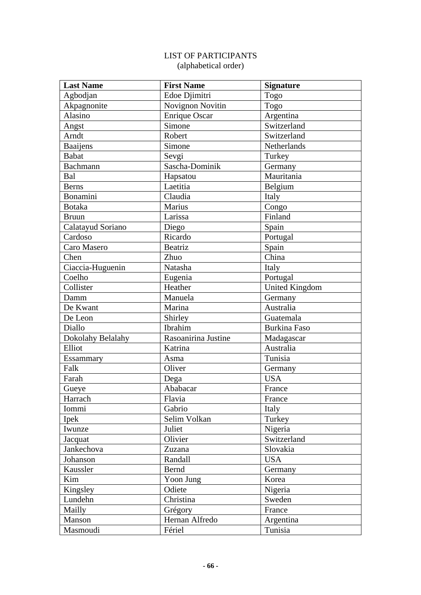# LIST OF PARTICIPANTS (alphabetical order)

| <b>Last Name</b>  | <b>First Name</b>    | <b>Signature</b>      |
|-------------------|----------------------|-----------------------|
| Agbodjan          | Edoe Djimitri        | Togo                  |
| Akpagnonite       | Novignon Novitin     | Togo                  |
| Alasino           | <b>Enrique Oscar</b> | Argentina             |
| Angst             | Simone               | Switzerland           |
| Arndt             | Robert               | Switzerland           |
| Baaijens          | Simone               | Netherlands           |
| <b>Babat</b>      | Sevgi                | Turkey                |
| Bachmann          | Sascha-Dominik       | Germany               |
| Bal               | Hapsatou             | Mauritania            |
| <b>Berns</b>      | Laetitia             | Belgium               |
| Bonamini          | Claudia              | Italy                 |
| <b>Botaka</b>     | Marius               | Congo                 |
| <b>Bruun</b>      | Larissa              | Finland               |
| Calatayud Soriano | Diego                | Spain                 |
| Cardoso           | Ricardo              | Portugal              |
| Caro Masero       | <b>Beatriz</b>       | Spain                 |
| Chen              | Zhuo                 | China                 |
| Ciaccia-Huguenin  | Natasha              | Italy                 |
| Coelho            | Eugenia              | Portugal              |
| Collister         | Heather              | <b>United Kingdom</b> |
| Damm              | Manuela              | Germany               |
| De Kwant          | Marina               | Australia             |
| De Leon           | Shirley              | Guatemala             |
| Diallo            | Ibrahim              | <b>Burkina Faso</b>   |
| Dokolahy Belalahy | Rasoanirina Justine  | Madagascar            |
| Elliot            | Katrina              | Australia             |
| Essammary         | Asma                 | Tunisia               |
| Falk              | Oliver               | Germany               |
| Farah             | Dega                 | <b>USA</b>            |
| Gueye             | Ababacar             | France                |
| Harrach           | Flavia               | France                |
| Iommi             | Gabrio               | Italy                 |
| Ipek              | Selim Volkan         | Turkey                |
| Iwunze            | Juliet               | Nigeria               |
| Jacquat           | Olivier              | Switzerland           |
| Jankechova        | Zuzana               | Slovakia              |
| Johanson          | Randall              | <b>USA</b>            |
| Kaussler          | Bernd                | Germany               |
| Kim               | Yoon Jung            | Korea                 |
| Kingsley          | Odiete               | Nigeria               |
| Lundehn           | Christina            | Sweden                |
| Mailly            | Grégory              | France                |
| Manson            | Hernan Alfredo       | Argentina             |
| Masmoudi          | Fériel               | Tunisia               |